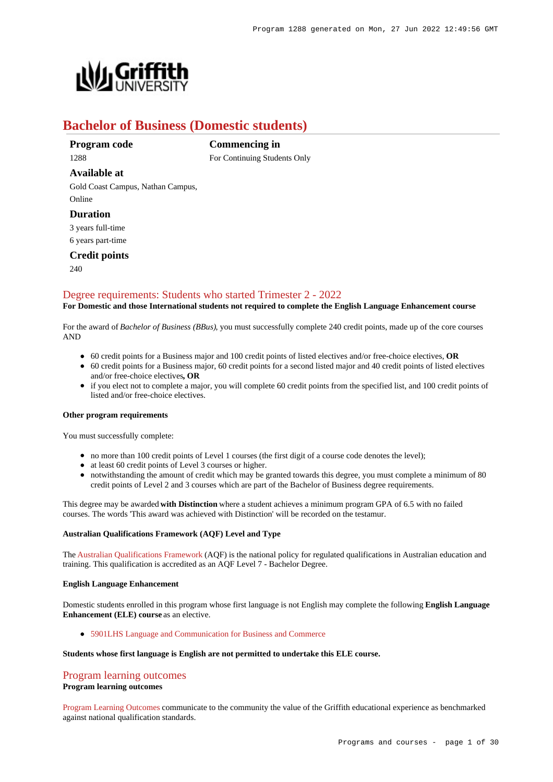

# **Bachelor of Business (Domestic students)**

## **Program code** 1288

**Commencing in** For Continuing Students Only

# **Available at**

Gold Coast Campus, Nathan Campus, Online

### **Duration**

3 years full-time

6 years part-time

## **Credit points**

 $240$ 

## [Degree requirements: Students who started Trimester 2 - 2022](https://www148.griffith.edu.au/programs-courses/Program/1288/Courses/Domestic#degree-requirements)

### **For Domestic and those International students not required to complete the English Language Enhancement course**

For the award of *Bachelor of Business (BBus)*, you must successfully complete 240 credit points, made up of the core courses AND

- 60 credit points for a Business major and 100 credit points of listed electives and/or free-choice electives, **OR**
- 60 credit points for a Business major, 60 credit points for a second listed major and 40 credit points of listed electives and/or free-choice electives**, OR**
- if you elect not to complete a major, you will complete 60 credit points from the specified list, and 100 credit points of listed and/or free-choice electives.

#### **Other program requirements**

You must successfully complete:

- no more than 100 credit points of Level 1 courses (the first digit of a course code denotes the level);
- at least 60 credit points of Level 3 courses or higher.
- notwithstanding the amount of credit which may be granted towards this degree, you must complete a minimum of 80 credit points of Level 2 and 3 courses which are part of the Bachelor of Business degree requirements.

This degree may be awarded **with Distinction** where a student achieves a minimum program GPA of 6.5 with no failed courses. The words 'This award was achieved with Distinction' will be recorded on the testamur.

#### **Australian Qualifications Framework (AQF) Level and Type**

The [Australian Qualifications Framework](http://www.aqf.edu.au/) (AQF) is the national policy for regulated qualifications in Australian education and training. This qualification is accredited as an AQF Level 7 - Bachelor Degree.

#### **English Language Enhancement**

Domestic students enrolled in this program whose first language is not English may complete the following **English Language Enhancement (ELE) course** as an elective.

[5901LHS Language and Communication for Business and Commerce](https://www148.griffith.edu.au/Course/5901LHS)

### **Students whose first language is English are not permitted to undertake this ELE course.**

# [Program learning outcomes](https://www148.griffith.edu.au/programs-courses/Program/1288/Courses/Domestic#programLearningOutcomes)

### **Program learning outcomes**

[Program Learning Outcomes](https://www.griffith.edu.au/__data/assets/pdf_file/0017/134522/PLO-general-advice.pdf) communicate to the community the value of the Griffith educational experience as benchmarked against national qualification standards.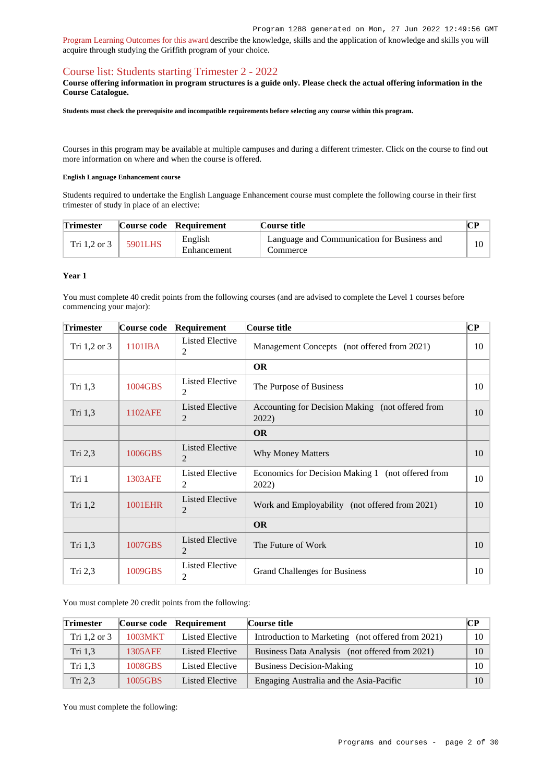[Program Learning Outcomes for this award](https://www.griffith.edu.au/__data/assets/pdf_file/0027/295506/BBusiness-PLO-L7.pdf) describe the knowledge, skills and the application of knowledge and skills you will acquire through studying the Griffith program of your choice.

# [Course list: Students starting Trimester 2 - 2022](https://www148.griffith.edu.au/programs-courses/Program/1288/Courses/Domestic#course-list-content)

#### **Course offering information in program structures is a guide only. Please check the actual offering information in the Course Catalogue.**

**Students must check the prerequisite and incompatible requirements before selecting any course within this program.**

Courses in this program may be available at multiple campuses and during a different trimester. Click on the course to find out more information on where and when the course is offered.

#### **English Language Enhancement course**

Students required to undertake the English Language Enhancement course must complete the following course in their first trimester of study in place of an elective:

| <b>Trimester</b> |         | Course code Requirement | Course title                                            |  |  |
|------------------|---------|-------------------------|---------------------------------------------------------|--|--|
| Tri 1.2 or 3     | 5901LHS | English<br>Enhancement  | Language and Communication for Business and<br>Commerce |  |  |

#### **Year 1**

You must complete 40 credit points from the following courses (and are advised to complete the Level 1 courses before commencing your major):

| <b>Trimester</b> | Course code | Requirement                              | Course title                                               | CР |
|------------------|-------------|------------------------------------------|------------------------------------------------------------|----|
| Tri $1,2$ or $3$ | 1101IBA     | <b>Listed Elective</b><br>2              | Management Concepts (not offered from 2021)                | 10 |
|                  |             |                                          | <b>OR</b>                                                  |    |
| Tri 1,3          | 1004GBS     | <b>Listed Elective</b><br>2              | The Purpose of Business                                    | 10 |
| Tri 1,3          | 1102AFE     | <b>Listed Elective</b><br>2              | Accounting for Decision Making (not offered from<br>2022)  | 10 |
|                  |             |                                          | <b>OR</b>                                                  |    |
| Tri 2,3          | 1006GBS     | <b>Listed Elective</b><br>2              | <b>Why Money Matters</b>                                   | 10 |
| Tri 1            | 1303AFE     | <b>Listed Elective</b><br>2              | Economics for Decision Making 1 (not offered from<br>2022) | 10 |
| Tri 1,2          | 1001EHR     | <b>Listed Elective</b><br>$\overline{2}$ | Work and Employability (not offered from 2021)             | 10 |
|                  |             |                                          | <b>OR</b>                                                  |    |
| Tri $1,3$        | 1007GBS     | <b>Listed Elective</b><br>2              | The Future of Work                                         | 10 |
| Tri 2,3          | 1009GBS     | <b>Listed Elective</b><br>2              | <b>Grand Challenges for Business</b>                       |    |

You must complete 20 credit points from the following:

| <b>Trimester</b> |         | Course code Requirement | Course title                                      | CР     |
|------------------|---------|-------------------------|---------------------------------------------------|--------|
| Tri $1,2$ or $3$ | 1003MKT | Listed Elective         | Introduction to Marketing (not offered from 2021) | $10-1$ |
| Tri 1.3          | 1305AFE | Listed Elective         | Business Data Analysis (not offered from 2021)    | 10     |
| Tri 1,3          | 1008GBS | Listed Elective         | <b>Business Decision-Making</b>                   | $10-1$ |
| Tri 2,3          | 1005GBS | Listed Elective         | Engaging Australia and the Asia-Pacific           | 10     |

You must complete the following: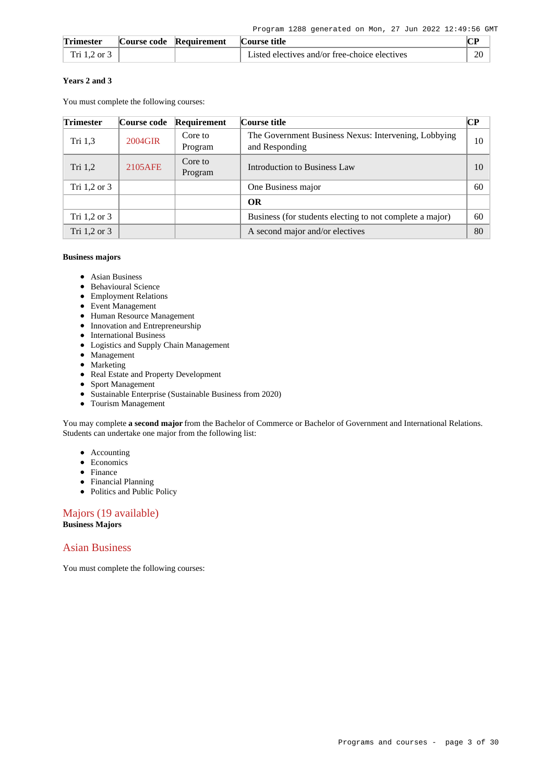| <b>Trimester</b> | Course code Requirement | Course title                                  |    |
|------------------|-------------------------|-----------------------------------------------|----|
| Tri 1.2 or 3     |                         | Listed electives and/or free-choice electives | 20 |

### **Years 2 and 3**

You must complete the following courses:

| <b>Trimester</b> | Course code | Requirement        | Course title                                                           | CР |
|------------------|-------------|--------------------|------------------------------------------------------------------------|----|
| Tri 1,3          | 2004GIR     | Core to<br>Program | The Government Business Nexus: Intervening, Lobbying<br>and Responding | 10 |
| Tri 1,2          | 2105AFE     | Core to<br>Program | Introduction to Business Law                                           |    |
| Tri $1,2$ or $3$ |             |                    | One Business major                                                     | 60 |
|                  |             |                    | <b>OR</b>                                                              |    |
| Tri $1,2$ or $3$ |             |                    | Business (for students electing to not complete a major)               | 60 |
| Tri 1.2 or 3     |             |                    | A second major and/or electives                                        | 80 |

#### **Business majors**

- Asian Business
- Behavioural Science
- Employment Relations
- Event Management
- Human Resource Management
- Innovation and Entrepreneurship
- International Business
- Logistics and Supply Chain Management
- Management
- Marketing
- Real Estate and Property Development
- Sport Management
- Sustainable Enterprise (Sustainable Business from 2020)
- Tourism Management

You may complete **a second major** from the Bachelor of Commerce or Bachelor of Government and International Relations. Students can undertake one major from the following list:

- Accounting
- Economics
- Finance
- Financial Planning
- Politics and Public Policy

Majors (19 available) **Business Majors**

## Asian Business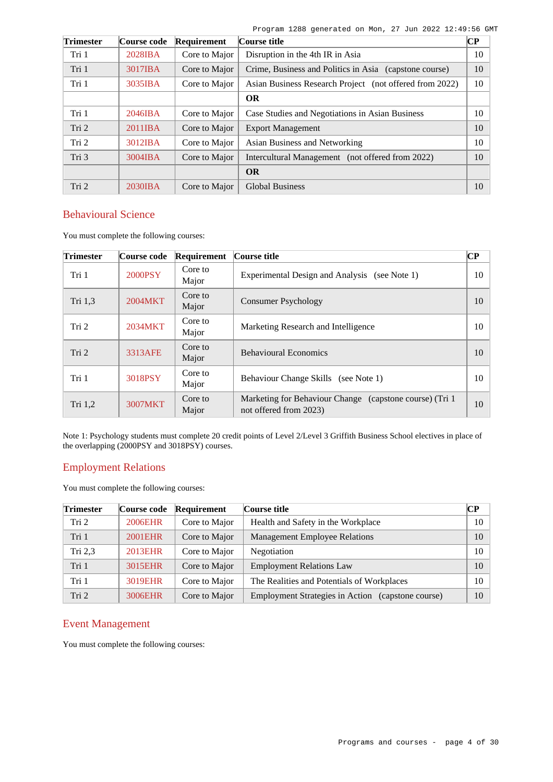| <b>Trimester</b> | Course code | Requirement   | Course title                                            |    |
|------------------|-------------|---------------|---------------------------------------------------------|----|
| Tri 1            | 2028IBA     | Core to Major | Disruption in the 4th IR in Asia                        | 10 |
| Tri 1            | 3017IBA     | Core to Major | Crime, Business and Politics in Asia (capstone course)  | 10 |
| Tri 1            | 3035IBA     | Core to Major | Asian Business Research Project (not offered from 2022) | 10 |
|                  |             |               | <b>OR</b>                                               |    |
| Tri 1            | 2046IBA     | Core to Major | Case Studies and Negotiations in Asian Business         | 10 |
| Tri 2            | 2011IBA     | Core to Major | <b>Export Management</b>                                | 10 |
| Tri 2            | 3012IBA     | Core to Major | Asian Business and Networking                           | 10 |
| Tri 3            | 3004IBA     | Core to Major | Intercultural Management (not offered from 2022)        | 10 |
|                  |             |               | <b>OR</b>                                               |    |
| Tri 2            | 2030IBA     | Core to Major | <b>Global Business</b>                                  | 10 |

# Behavioural Science

You must complete the following courses:

| <b>Trimester</b> | Course code | Requirement      | Course title                                                                       | <b>CP</b> |
|------------------|-------------|------------------|------------------------------------------------------------------------------------|-----------|
| Tri 1            | 2000PSY     | Core to<br>Major | Experimental Design and Analysis<br>(see Note 1)                                   | 10        |
| Tri 1,3          | 2004MKT     | Core to<br>Major | <b>Consumer Psychology</b>                                                         | 10        |
| Tri 2            | 2034MKT     | Core to<br>Major | Marketing Research and Intelligence                                                | 10        |
| Tri 2            | 3313AFE     | Core to<br>Major | <b>Behavioural Economics</b>                                                       | 10        |
| Tri 1            | 3018PSY     | Core to<br>Major | Behaviour Change Skills (see Note 1)                                               | 10        |
| Tri $1,2$        | 3007MKT     | Core to<br>Major | Marketing for Behaviour Change (capstone course) (Tri 1)<br>not offered from 2023) | 10        |

Note 1: Psychology students must complete 20 credit points of Level 2/Level 3 Griffith Business School electives in place of the overlapping (2000PSY and 3018PSY) courses.

## Employment Relations

You must complete the following courses:

| <b>Trimester</b> | Course code | Requirement   | Course title                                      | CР |
|------------------|-------------|---------------|---------------------------------------------------|----|
| Tri 2            | 2006EHR     | Core to Major | Health and Safety in the Workplace                | 10 |
| Tri 1            | 2001EHR     | Core to Major | <b>Management Employee Relations</b>              | 10 |
| Tri $2,3$        | 2013EHR     | Core to Major | Negotiation                                       | 10 |
| Tri 1            | 3015EHR     | Core to Major | <b>Employment Relations Law</b>                   | 10 |
| Tri 1            | 3019EHR     | Core to Major | The Realities and Potentials of Workplaces        | 10 |
| Tri 2            | 3006EHR     | Core to Major | Employment Strategies in Action (capstone course) | 10 |

## Event Management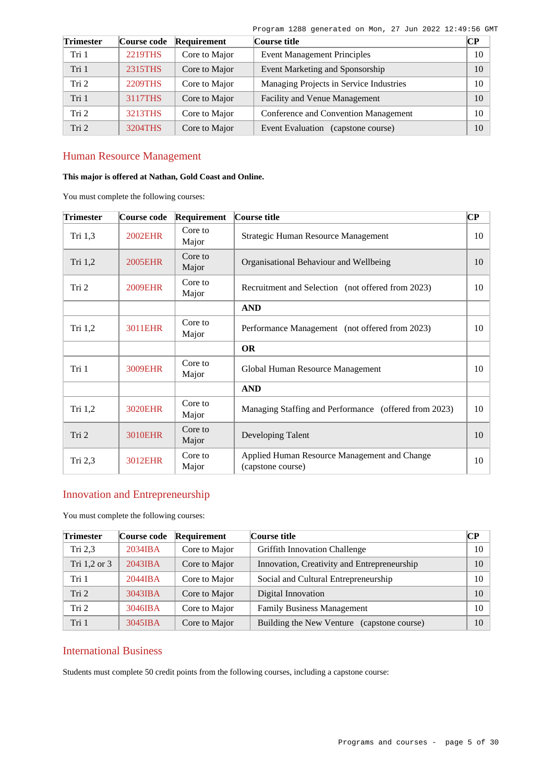|  | Program 1288 generated on Mon, 27 Jun 2022 12:49:56 GMT |  |  |  |  |
|--|---------------------------------------------------------|--|--|--|--|
|  |                                                         |  |  |  |  |

| <b>Trimester</b> | Course code | Requirement   | Course title                                 |    |  |  |  |
|------------------|-------------|---------------|----------------------------------------------|----|--|--|--|
| Tri 1            | 2219THS     | Core to Major | <b>Event Management Principles</b>           | 10 |  |  |  |
| Tri 1            | 2315THS     | Core to Major | Event Marketing and Sponsorship              | 10 |  |  |  |
| Tri <sub>2</sub> | 2209THS     | Core to Major | Managing Projects in Service Industries      | 10 |  |  |  |
| Tri 1            | 3117THS     | Core to Major | Facility and Venue Management                | 10 |  |  |  |
| Tri <sub>2</sub> | 3213THS     | Core to Major | Conference and Convention Management         | 10 |  |  |  |
| Tri 2            | 3204THS     | Core to Major | <b>Event Evaluation</b><br>(capstone course) | 10 |  |  |  |

# Human Resource Management

## **This major is offered at Nathan, Gold Coast and Online.**

You must complete the following courses:

| <b>Trimester</b> | Course code    | Requirement      | Course title                                                      | $\overline{\mathbf{C}\mathbf{P}}$ |
|------------------|----------------|------------------|-------------------------------------------------------------------|-----------------------------------|
| Tri $1,3$        | <b>2002EHR</b> | Core to<br>Major | Strategic Human Resource Management                               | 10                                |
| Tri 1,2          | <b>2005EHR</b> | Core to<br>Major | Organisational Behaviour and Wellbeing                            | 10                                |
| Tri 2            | <b>2009EHR</b> | Core to<br>Major | Recruitment and Selection (not offered from 2023)                 |                                   |
|                  |                |                  | <b>AND</b>                                                        |                                   |
| Tri $1,2$        | 3011EHR        | Core to<br>Major | Performance Management (not offered from 2023)                    | 10                                |
|                  |                |                  | <b>OR</b>                                                         |                                   |
| Tri 1            | <b>3009EHR</b> | Core to<br>Major | Global Human Resource Management                                  | 10                                |
|                  |                |                  | <b>AND</b>                                                        |                                   |
| Tri 1,2          | <b>3020EHR</b> | Core to<br>Major | Managing Staffing and Performance (offered from 2023)             | 10                                |
| Tri 2            | <b>3010EHR</b> | Core to<br>Major | Developing Talent                                                 | 10                                |
| Tri 2,3          | 3012EHR        | Core to<br>Major | Applied Human Resource Management and Change<br>(capstone course) |                                   |

# Innovation and Entrepreneurship

You must complete the following courses:

| <b>Trimester</b> | Course code | Requirement   | Course title                                |    |  |  |
|------------------|-------------|---------------|---------------------------------------------|----|--|--|
| Tri $2,3$        | $2034$ IBA  | Core to Major | <b>Griffith Innovation Challenge</b>        | 10 |  |  |
| Tri 1,2 or 3     | 2043IBA     | Core to Major | Innovation, Creativity and Entrepreneurship | 10 |  |  |
| Tri 1            | 2044IBA     | Core to Major | Social and Cultural Entrepreneurship        | 10 |  |  |
| Tri 2            | 3043IBA     | Core to Major | Digital Innovation                          | 10 |  |  |
| Tri 2            | 3046IBA     | Core to Major | <b>Family Business Management</b>           | 10 |  |  |
| Tri 1            | 3045IBA     | Core to Major | Building the New Venture (capstone course)  | 10 |  |  |

# International Business

Students must complete 50 credit points from the following courses, including a capstone course: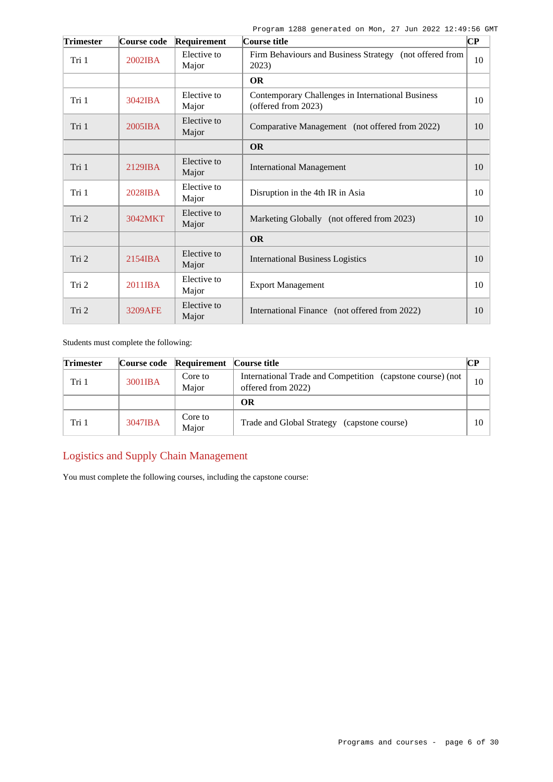| <b>Trimester</b> | Course code       | Requirement          | Course title                                                             |    |  |  |
|------------------|-------------------|----------------------|--------------------------------------------------------------------------|----|--|--|
| Tri 1            | 2002IBA           | Elective to<br>Major | Firm Behaviours and Business Strategy (not offered from<br>2023)         | 10 |  |  |
|                  |                   |                      | <b>OR</b>                                                                |    |  |  |
| Tri 1            | $3042$ <b>IBA</b> | Elective to<br>Major | Contemporary Challenges in International Business<br>(offered from 2023) | 10 |  |  |
| Tri 1            | $2005$ <b>IBA</b> | Elective to<br>Major | Comparative Management (not offered from 2022)                           | 10 |  |  |
|                  |                   |                      | <b>OR</b>                                                                |    |  |  |
| Tri 1            | $2129$ IBA        | Elective to<br>Major | <b>International Management</b>                                          | 10 |  |  |
| Tri 1            | $2028$ <b>IBA</b> | Elective to<br>Major | Disruption in the 4th IR in Asia                                         | 10 |  |  |
| Tri 2            | 3042MKT           | Elective to<br>Major | Marketing Globally (not offered from 2023)                               | 10 |  |  |
|                  |                   |                      | <b>OR</b>                                                                |    |  |  |
| Tri 2            | 2154IBA           | Elective to<br>Major | <b>International Business Logistics</b>                                  | 10 |  |  |
| Tri 2            | 2011IBA           | Elective to<br>Major | <b>Export Management</b>                                                 | 10 |  |  |
| Tri 2            | <b>3209AFE</b>    | Elective to<br>Major | International Finance (not offered from 2022)                            |    |  |  |

Students must complete the following:

| <b>Trimester</b> |         | Course code Requirement | Course title                                                                     | CР |
|------------------|---------|-------------------------|----------------------------------------------------------------------------------|----|
| Tri 1            | 3001IBA | Core to<br>Maior        | International Trade and Competition (capstone course) (not<br>offered from 2022) |    |
|                  |         |                         | OR                                                                               |    |
| Tri 1            | 3047IBA | Core to<br>Major        | Trade and Global Strategy (capstone course)                                      | 10 |

# Logistics and Supply Chain Management

You must complete the following courses, including the capstone course: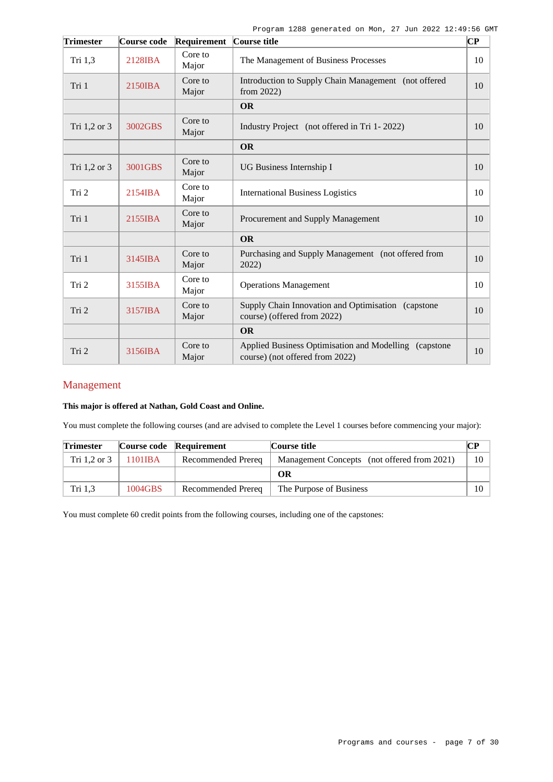| <b>Trimester</b> | Course code | Requirement      | Course title                                                                              |    |
|------------------|-------------|------------------|-------------------------------------------------------------------------------------------|----|
| Tri 1,3          | 2128IBA     | Core to<br>Major | The Management of Business Processes                                                      | 10 |
| Tri 1            | 2150IBA     | Core to<br>Major | Introduction to Supply Chain Management (not offered<br>from $2022$ )                     | 10 |
|                  |             |                  | <b>OR</b>                                                                                 |    |
| Tri 1,2 or 3     | 3002GBS     | Core to<br>Major | Industry Project (not offered in Tri 1-2022)                                              | 10 |
|                  |             |                  | <b>OR</b>                                                                                 |    |
| Tri 1,2 or 3     | 3001GBS     | Core to<br>Major | UG Business Internship I                                                                  | 10 |
| Tri 2            | 2154IBA     | Core to<br>Major | <b>International Business Logistics</b>                                                   |    |
| Tri 1            | 2155IBA     | Core to<br>Major | Procurement and Supply Management                                                         | 10 |
|                  |             |                  | <b>OR</b>                                                                                 |    |
| Tri 1            | 3145IBA     | Core to<br>Major | Purchasing and Supply Management (not offered from<br>2022)                               | 10 |
| Tri 2            | 3155IBA     | Core to<br>Major | <b>Operations Management</b>                                                              | 10 |
| Tri 2            | 3157IBA     | Core to<br>Major | Supply Chain Innovation and Optimisation (capstone<br>course) (offered from 2022)         |    |
|                  |             |                  | <b>OR</b>                                                                                 |    |
| Tri 2            | 3156IBA     | Core to<br>Major | Applied Business Optimisation and Modelling (capstone)<br>course) (not offered from 2022) | 10 |

# Management

### **This major is offered at Nathan, Gold Coast and Online.**

You must complete the following courses (and are advised to complete the Level 1 courses before commencing your major):

| <b>Trimester</b> |         | Course code Requirement | Course title                                |    |  |
|------------------|---------|-------------------------|---------------------------------------------|----|--|
| Tri 1.2 or 3     | 1101IBA | Recommended Prereq      | Management Concepts (not offered from 2021) | 10 |  |
|                  |         |                         | ОR                                          |    |  |
| Tri 1.3          | 1004GBS | Recommended Prereq      | The Purpose of Business                     | 10 |  |

You must complete 60 credit points from the following courses, including one of the capstones: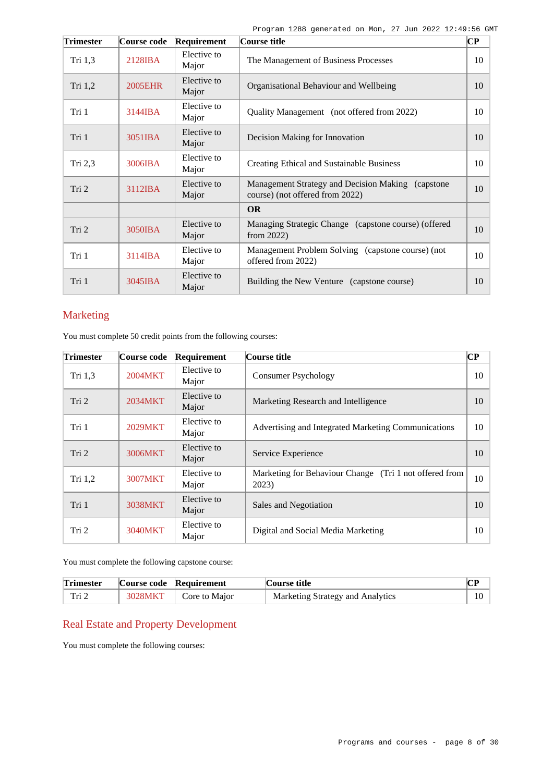| <b>Trimester</b> | Course code       | Requirement          | Course title                                                                          |    |
|------------------|-------------------|----------------------|---------------------------------------------------------------------------------------|----|
| Tri $1,3$        | 2128IBA           | Elective to<br>Major | The Management of Business Processes                                                  | 10 |
| Tri 1,2          | 2005EHR           | Elective to<br>Major | Organisational Behaviour and Wellbeing                                                |    |
| Tri 1            | 3144IBA           | Elective to<br>Major | Quality Management (not offered from 2022)                                            |    |
| Tri 1            | 3051IBA           | Elective to<br>Major | Decision Making for Innovation                                                        | 10 |
| Tri 2,3          | 3006IBA           | Elective to<br>Major | <b>Creating Ethical and Sustainable Business</b>                                      | 10 |
| Tri <sub>2</sub> | $3112$ <b>IBA</b> | Elective to<br>Major | Management Strategy and Decision Making (capstone)<br>course) (not offered from 2022) | 10 |
|                  |                   |                      | <b>OR</b>                                                                             |    |
| Tri 2            | 3050IBA           | Elective to<br>Major | Managing Strategic Change (capstone course) (offered<br>from $2022$ )                 | 10 |
| Tri 1            | 3114IBA           | Elective to<br>Major | Management Problem Solving (capstone course) (not<br>offered from 2022)               | 10 |
| Tri 1            | 3045IBA           | Elective to<br>Major | Building the New Venture (capstone course)                                            |    |

# Marketing

You must complete 50 credit points from the following courses:

| <b>Trimester</b> | Course code | Requirement          | $\overline{\mathbf{CP}}$<br>Course title                        |    |  |  |
|------------------|-------------|----------------------|-----------------------------------------------------------------|----|--|--|
| Tri $1,3$        | 2004MKT     | Elective to<br>Major | <b>Consumer Psychology</b>                                      |    |  |  |
| Tri 2            | 2034MKT     | Elective to<br>Major | Marketing Research and Intelligence                             |    |  |  |
| Tri 1            | 2029MKT     | Elective to<br>Major | Advertising and Integrated Marketing Communications             | 10 |  |  |
| Tri 2            | 3006MKT     | Elective to<br>Major | Service Experience                                              |    |  |  |
| Tri $1,2$        | 3007MKT     | Elective to<br>Major | Marketing for Behaviour Change (Tri 1 not offered from<br>2023) | 10 |  |  |
| Tri 1            | 3038MKT     | Elective to<br>Major | Sales and Negotiation                                           | 10 |  |  |
| Tri 2            | 3040MKT     | Elective to<br>Major | Digital and Social Media Marketing                              | 10 |  |  |

You must complete the following capstone course:

| <b>Trimester</b> | Course code Requirement | Course title                     |    |
|------------------|-------------------------|----------------------------------|----|
| Tri 2            | 3028MKT   Core to Major | Marketing Strategy and Analytics | 10 |

# Real Estate and Property Development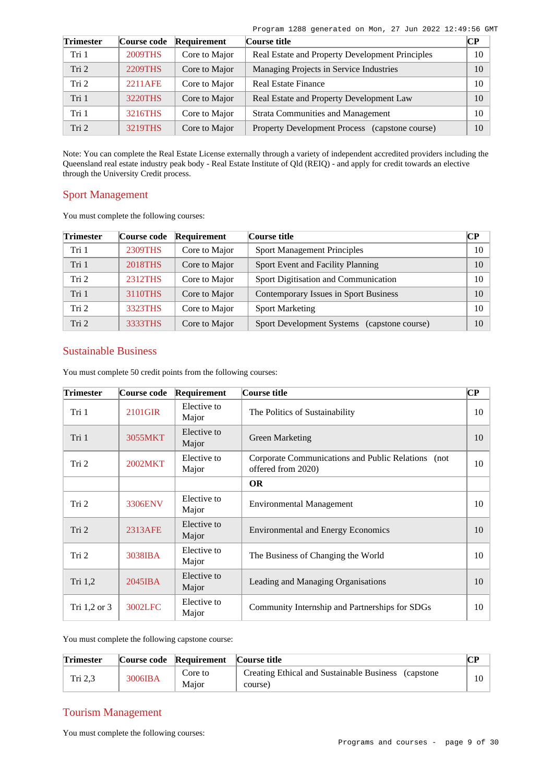| Program 1288 generated on Mon, 27 Jun 2022 12:49:56 GMT |  |  |  |  |
|---------------------------------------------------------|--|--|--|--|
|                                                         |  |  |  |  |

| <b>Trimester</b> | Course code    | Requirement   | Course title                                    | $\bf CP$ |
|------------------|----------------|---------------|-------------------------------------------------|----------|
| Tri 1            | <b>2009THS</b> | Core to Major | Real Estate and Property Development Principles | 10       |
| Tri 2            | 2209THS        | Core to Major | Managing Projects in Service Industries         | 10       |
| Tri <sub>2</sub> | 2211AFE        | Core to Major | <b>Real Estate Finance</b>                      | 10       |
| Tri 1            | 3220THS        | Core to Major | Real Estate and Property Development Law        | 10       |
| Tri 1            | 3216THS        | Core to Major | <b>Strata Communities and Management</b>        | 10       |
| Tri <sub>2</sub> | <b>3219THS</b> | Core to Major | Property Development Process (capstone course)  | 10       |

Note: You can complete the Real Estate License externally through a variety of independent accredited providers including the Queensland real estate industry peak body - Real Estate Institute of Qld (REIQ) - and apply for credit towards an elective through the University Credit process.

## Sport Management

You must complete the following courses:

| Trimester        | Course code | Requirement   | Course title                                          | CР |
|------------------|-------------|---------------|-------------------------------------------------------|----|
| Tri 1            | 2309THS     | Core to Major | <b>Sport Management Principles</b>                    | 10 |
| Tri 1            | 2018THS     | Core to Major | Sport Event and Facility Planning                     | 10 |
| Tri <sub>2</sub> | 2312THS     | Core to Major | Sport Digitisation and Communication                  | 10 |
| Tri 1            | 3110THS     | Core to Major | Contemporary Issues in Sport Business                 | 10 |
| Tri <sub>2</sub> | 3323THS     | Core to Major | <b>Sport Marketing</b>                                | 10 |
| Tri <sub>2</sub> | 3333THS     | Core to Major | <b>Sport Development Systems</b><br>(capstone course) | 10 |

# Sustainable Business

You must complete 50 credit points from the following courses:

| <b>Trimester</b> | Course code | Requirement          | Course title                                                             | CР |
|------------------|-------------|----------------------|--------------------------------------------------------------------------|----|
| Tri 1            | 2101GIR     | Elective to<br>Major | The Politics of Sustainability                                           | 10 |
| Tri 1            | 3055MKT     | Elective to<br>Major | <b>Green Marketing</b>                                                   |    |
| Tri 2            | 2002MKT     | Elective to<br>Major | Corporate Communications and Public Relations (not<br>offered from 2020) | 10 |
|                  |             |                      | <b>OR</b>                                                                |    |
| Tri 2            | 3306ENV     | Elective to<br>Major | <b>Environmental Management</b>                                          | 10 |
| Tri 2            | 2313AFE     | Elective to<br>Major | <b>Environmental and Energy Economics</b>                                |    |
| Tri 2            | 3038IBA     | Elective to<br>Major | The Business of Changing the World                                       | 10 |
| Tri 1,2          | $2045$ IBA  | Elective to<br>Major | Leading and Managing Organisations                                       | 10 |
| Tri $1,2$ or $3$ | 3002LFC     | Elective to<br>Major | Community Internship and Partnerships for SDGs                           |    |

You must complete the following capstone course:

| <b>Trimester</b> |         | Course code Requirement | Course title                                                    |  |  |
|------------------|---------|-------------------------|-----------------------------------------------------------------|--|--|
| Tri $2,3$        | 3006IBA | Core to<br>Maior        | Creating Ethical and Sustainable Business (capstone)<br>course) |  |  |

# Tourism Management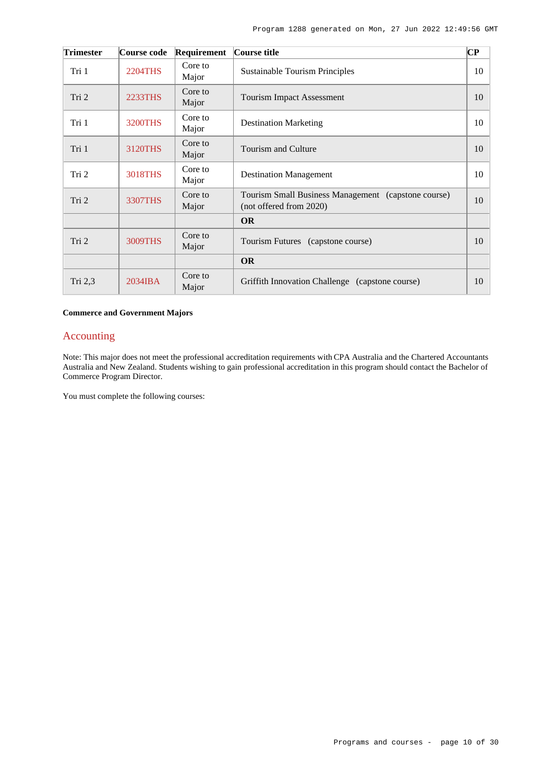| <b>Trimester</b> | Course code    | Requirement      | Course title                                                                   | $\overline{\mathbf{C}\mathbf{P}}$ |
|------------------|----------------|------------------|--------------------------------------------------------------------------------|-----------------------------------|
| Tri 1            | 2204THS        | Core to<br>Major | Sustainable Tourism Principles                                                 | 10                                |
| Tri 2            | 2233THS        | Core to<br>Major | <b>Tourism Impact Assessment</b>                                               | 10                                |
| Tri 1            | <b>3200THS</b> | Core to<br>Major | <b>Destination Marketing</b>                                                   | 10                                |
| Tri 1            | 3120THS        | Core to<br>Major | Tourism and Culture                                                            | 10                                |
| Tri 2            | <b>3018THS</b> | Core to<br>Major | <b>Destination Management</b>                                                  | 10                                |
| Tri 2            | 3307THS        | Core to<br>Major | Tourism Small Business Management (capstone course)<br>(not offered from 2020) | 10                                |
|                  |                |                  | <b>OR</b>                                                                      |                                   |
| Tri 2            | 3009THS        | Core to<br>Major | Tourism Futures (capstone course)                                              | 10                                |
|                  |                |                  | <b>OR</b>                                                                      |                                   |
| Tri 2,3          | $2034$ IBA     | Core to<br>Major | Griffith Innovation Challenge (capstone course)                                | 10                                |

### **Commerce and Government Majors**

# Accounting

Note: This major does not meet the professional accreditation requirements with CPA Australia and the Chartered Accountants Australia and New Zealand. Students wishing to gain professional accreditation in this program should contact the Bachelor of Commerce Program Director.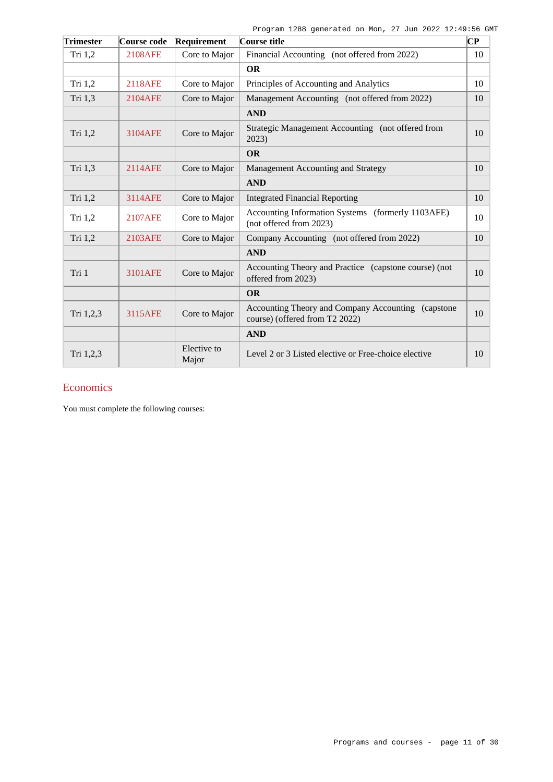| <b>Trimester</b> | Course code    | Requirement          | Course title                                                                         | $\bf CP$ |
|------------------|----------------|----------------------|--------------------------------------------------------------------------------------|----------|
| Tri 1,2          | <b>2108AFE</b> | Core to Major        | Financial Accounting (not offered from 2022)                                         | 10       |
|                  |                |                      | <b>OR</b>                                                                            |          |
| Tri 1,2          | 2118AFE        | Core to Major        | Principles of Accounting and Analytics                                               | 10       |
| Tri 1,3          | 2104AFE        | Core to Major        | Management Accounting (not offered from 2022)                                        | 10       |
|                  |                |                      | <b>AND</b>                                                                           |          |
| Tri 1,2          | 3104AFE        | Core to Major        | Strategic Management Accounting (not offered from<br>2023)                           | 10       |
|                  |                |                      | <b>OR</b>                                                                            |          |
| Tri 1,3          | 2114AFE        | Core to Major        | Management Accounting and Strategy                                                   | 10       |
|                  |                |                      | <b>AND</b>                                                                           |          |
| Tri 1,2          | 3114AFE        | Core to Major        | <b>Integrated Financial Reporting</b>                                                | 10       |
| Tri $1,2$        | 2107AFE        | Core to Major        | Accounting Information Systems (formerly 1103AFE)<br>(not offered from 2023)         | 10       |
| Tri 1,2          | 2103AFE        | Core to Major        | Company Accounting (not offered from 2022)                                           | 10       |
|                  |                |                      | <b>AND</b>                                                                           |          |
| Tri 1            | 3101AFE        | Core to Major        | Accounting Theory and Practice (capstone course) (not<br>offered from 2023)          | 10       |
|                  |                |                      | <b>OR</b>                                                                            |          |
| Tri 1,2,3        | 3115AFE        | Core to Major        | Accounting Theory and Company Accounting (capstone<br>course) (offered from T2 2022) | 10       |
|                  |                |                      | <b>AND</b>                                                                           |          |
| Tri 1,2,3        |                | Elective to<br>Major | Level 2 or 3 Listed elective or Free-choice elective                                 | 10       |

# **Economics**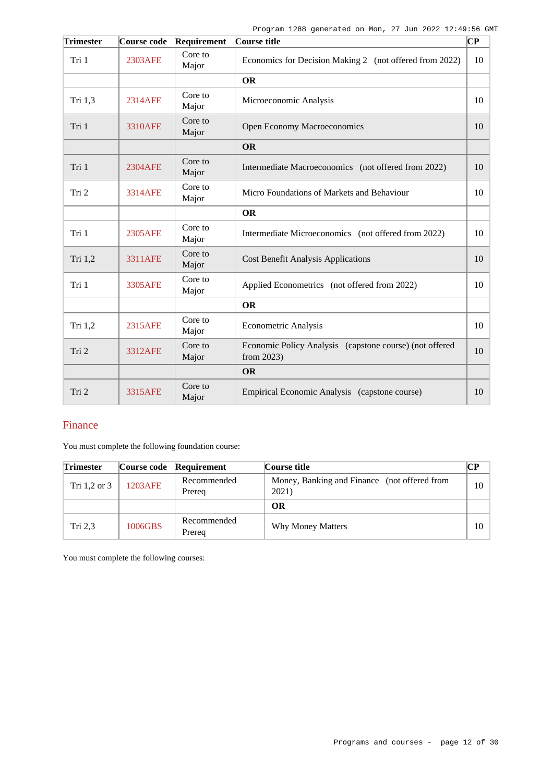| <b>Trimester</b> | Course code    | Requirement      | Course title                                                          | СP |
|------------------|----------------|------------------|-----------------------------------------------------------------------|----|
| Tri 1            | 2303AFE        | Core to<br>Major | Economics for Decision Making 2 (not offered from 2022)               | 10 |
|                  |                |                  | <b>OR</b>                                                             |    |
| Tri $1,3$        | 2314AFE        | Core to<br>Major | Microeconomic Analysis                                                | 10 |
| Tri 1            | <b>3310AFE</b> | Core to<br>Major | Open Economy Macroeconomics                                           | 10 |
|                  |                |                  | <b>OR</b>                                                             |    |
| Tri 1            | <b>2304AFE</b> | Core to<br>Major | Intermediate Macroeconomics (not offered from 2022)                   | 10 |
| Tri 2            | 3314AFE        | Core to<br>Major | Micro Foundations of Markets and Behaviour                            | 10 |
|                  |                |                  | <b>OR</b>                                                             |    |
| Tri 1            | 2305AFE        | Core to<br>Major | Intermediate Microeconomics (not offered from 2022)                   | 10 |
| Tri 1,2          | <b>3311AFE</b> | Core to<br>Major | <b>Cost Benefit Analysis Applications</b>                             | 10 |
| Tri 1            | 3305AFE        | Core to<br>Major | Applied Econometrics (not offered from 2022)                          | 10 |
|                  |                |                  | <b>OR</b>                                                             |    |
| Tri 1,2          | 2315AFE        | Core to<br>Major | <b>Econometric Analysis</b>                                           | 10 |
| Tri 2            | 3312AFE        | Core to<br>Major | Economic Policy Analysis (capstone course) (not offered<br>from 2023) | 10 |
|                  |                |                  | <b>OR</b>                                                             |    |
| Tri 2            | 3315AFE        | Core to<br>Major | Empirical Economic Analysis (capstone course)                         | 10 |

# Finance

You must complete the following foundation course:

| <b>Trimester</b> |         | Course code Requirement | Course title                                          | CР |
|------------------|---------|-------------------------|-------------------------------------------------------|----|
| Tri $1,2$ or $3$ | 1203AFE | Recommended<br>Prereg   | Money, Banking and Finance (not offered from<br>2021) | 10 |
|                  |         |                         | ОR                                                    |    |
| Tri 2,3          | 1006GBS | Recommended<br>Prereg   | Why Money Matters                                     | 10 |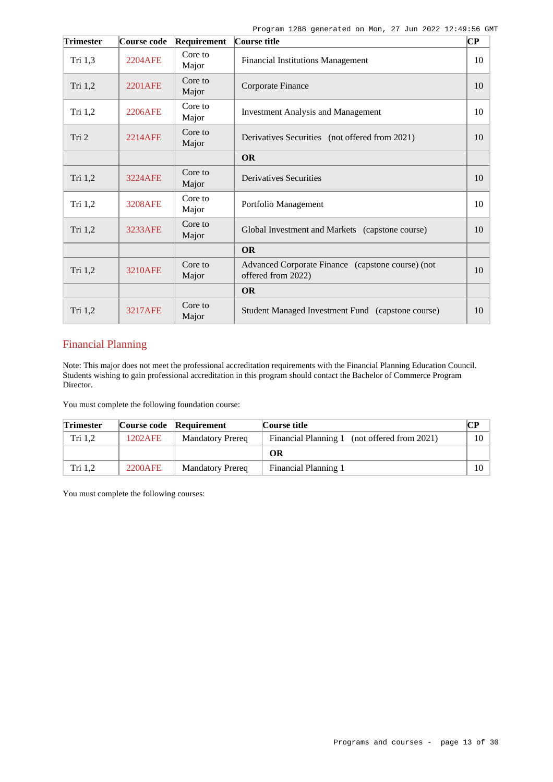| <b>Trimester</b> | Course code    | Requirement      | Course title                                                            | $\bf CP$ |
|------------------|----------------|------------------|-------------------------------------------------------------------------|----------|
| Tri 1,3          | <b>2204AFE</b> | Core to<br>Major | <b>Financial Institutions Management</b>                                | 10       |
| Tri 1,2          | <b>2201AFE</b> | Core to<br>Major | Corporate Finance                                                       | 10       |
| Tri 1,2          | 2206AFE        | Core to<br>Major | <b>Investment Analysis and Management</b>                               | 10       |
| Tri 2            | <b>2214AFE</b> | Core to<br>Major | Derivatives Securities (not offered from 2021)                          | 10       |
|                  |                |                  | <b>OR</b>                                                               |          |
| Tri 1,2          | <b>3224AFE</b> | Core to<br>Major | <b>Derivatives Securities</b>                                           | 10       |
| Tri 1,2          | 3208AFE        | Core to<br>Major | Portfolio Management                                                    | 10       |
| Tri 1,2          | 3233AFE        | Core to<br>Major | Global Investment and Markets (capstone course)                         | 10       |
|                  |                |                  | <b>OR</b>                                                               |          |
| Tri 1,2          | 3210AFE        | Core to<br>Major | Advanced Corporate Finance (capstone course) (not<br>offered from 2022) | 10       |
|                  |                |                  | <b>OR</b>                                                               |          |
| Tri 1,2          | <b>3217AFE</b> | Core to<br>Major | Student Managed Investment Fund (capstone course)                       | 10       |

# Financial Planning

Note: This major does not meet the professional accreditation requirements with the Financial Planning Education Council. Students wishing to gain professional accreditation in this program should contact the Bachelor of Commerce Program Director.

You must complete the following foundation course:

| <b>Trimester</b> |         | Course code Requirement | Course title                                 |         |
|------------------|---------|-------------------------|----------------------------------------------|---------|
| Tri 1.2          | 1202AFE | <b>Mandatory Prereq</b> | Financial Planning 1 (not offered from 2021) | 10      |
|                  |         |                         | OR                                           |         |
| Tri 1.2          | 2200AFE | <b>Mandatory Prereg</b> | Financial Planning 1                         | $10-10$ |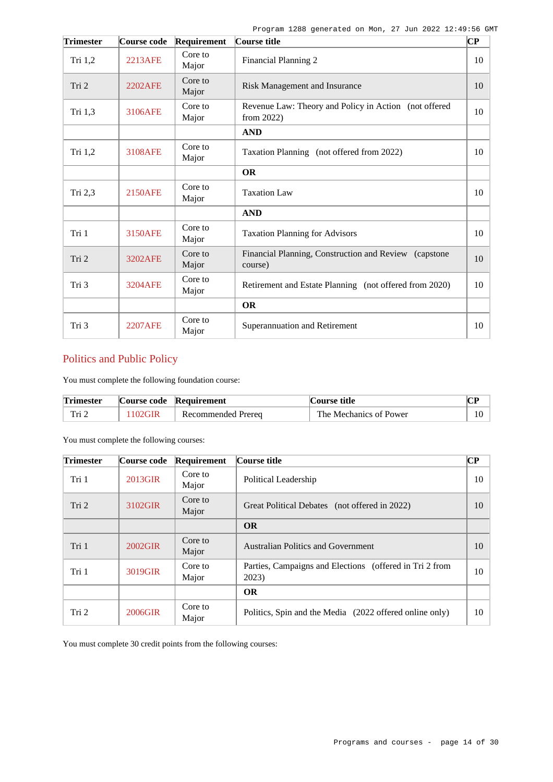| <b>Trimester</b> | Course code    | Requirement      | Course title                                                           | $ {\bf CP} $ |
|------------------|----------------|------------------|------------------------------------------------------------------------|--------------|
| Tri 1,2          | 2213AFE        | Core to<br>Major | <b>Financial Planning 2</b>                                            | 10           |
| Tri 2            | 2202AFE        | Core to<br>Major | Risk Management and Insurance                                          | 10           |
| Tri 1,3          | 3106AFE        | Core to<br>Major | Revenue Law: Theory and Policy in Action (not offered<br>from $2022$ ) | 10           |
|                  |                |                  | <b>AND</b>                                                             |              |
| Tri 1,2          | 3108AFE        | Core to<br>Major | Taxation Planning (not offered from 2022)                              | 10           |
|                  |                |                  | <b>OR</b>                                                              |              |
| Tri 2,3          | <b>2150AFE</b> | Core to<br>Major | <b>Taxation Law</b>                                                    | 10           |
|                  |                |                  | <b>AND</b>                                                             |              |
| Tri 1            | <b>3150AFE</b> | Core to<br>Major | <b>Taxation Planning for Advisors</b>                                  | 10           |
| Tri 2            | 3202AFE        | Core to<br>Major | Financial Planning, Construction and Review (capstone<br>course)       | 10           |
| Tri 3            | <b>3204AFE</b> | Core to<br>Major | Retirement and Estate Planning (not offered from 2020)                 | 10           |
|                  |                |                  | <b>OR</b>                                                              |              |
| Tri 3            | <b>2207AFE</b> | Core to<br>Major | Superannuation and Retirement                                          | 10           |

# Politics and Public Policy

You must complete the following foundation course:

| <b>Trimester</b> | Course code Requirement | Course title           |  |
|------------------|-------------------------|------------------------|--|
| Tri              | Recommended Prereg      | The Mechanics of Power |  |

You must complete the following courses:

| <b>Trimester</b> | Course code | Requirement      | Course title                                                     | <b>CP</b> |
|------------------|-------------|------------------|------------------------------------------------------------------|-----------|
| Tri 1            | 2013GIR     | Core to<br>Major | Political Leadership                                             | 10        |
| Tri 2            | 3102GIR     | Core to<br>Major | Great Political Debates (not offered in 2022)                    | 10        |
|                  |             |                  | <b>OR</b>                                                        |           |
| Tri 1            | 2002GIR     | Core to<br>Major | <b>Australian Politics and Government</b>                        | 10        |
| Tri 1            | 3019GIR     | Core to<br>Major | Parties, Campaigns and Elections (offered in Tri 2 from<br>2023) | 10        |
|                  |             |                  | <b>OR</b>                                                        |           |
| Tri 2            | 2006GIR     | Core to<br>Major | Politics, Spin and the Media (2022 offered online only)          | 10        |

You must complete 30 credit points from the following courses: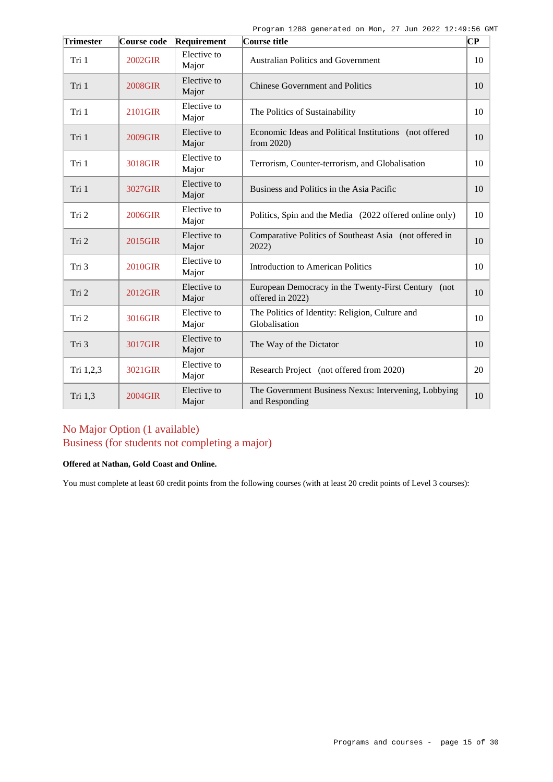| <b>Trimester</b> | Course code | Requirement          | Course title                                                            | ∣СР |
|------------------|-------------|----------------------|-------------------------------------------------------------------------|-----|
| Tri 1            | 2002GIR     | Elective to<br>Major | <b>Australian Politics and Government</b>                               | 10  |
| Tri 1            | 2008GIR     | Elective to<br>Major | <b>Chinese Government and Politics</b>                                  | 10  |
| Tri 1            | 2101GIR     | Elective to<br>Major | The Politics of Sustainability                                          | 10  |
| Tri 1            | 2009GIR     | Elective to<br>Major | Economic Ideas and Political Institutions (not offered<br>from 2020)    | 10  |
| Tri 1            | 3018GIR     | Elective to<br>Major | Terrorism, Counter-terrorism, and Globalisation                         | 10  |
| Tri 1            | 3027GIR     | Elective to<br>Major | Business and Politics in the Asia Pacific                               | 10  |
| Tri 2            | 2006GIR     | Elective to<br>Major | Politics, Spin and the Media (2022 offered online only)                 | 10  |
| Tri 2            | 2015GIR     | Elective to<br>Major | Comparative Politics of Southeast Asia (not offered in<br>2022)         | 10  |
| Tri 3            | 2010GIR     | Elective to<br>Major | Introduction to American Politics                                       | 10  |
| Tri 2            | 2012GIR     | Elective to<br>Major | European Democracy in the Twenty-First Century (not<br>offered in 2022) | 10  |
| Tri 2            | 3016GIR     | Elective to<br>Major | The Politics of Identity: Religion, Culture and<br>Globalisation        | 10  |
| Tri 3            | 3017GIR     | Elective to<br>Major | The Way of the Dictator                                                 | 10  |
| Tri 1,2,3        | 3021GIR     | Elective to<br>Major | Research Project (not offered from 2020)                                | 20  |
| Tri 1,3          | 2004GIR     | Elective to<br>Major | The Government Business Nexus: Intervening, Lobbying<br>and Responding  | 10  |

# No Major Option (1 available) Business (for students not completing a major)

### **Offered at Nathan, Gold Coast and Online.**

You must complete at least 60 credit points from the following courses (with at least 20 credit points of Level 3 courses):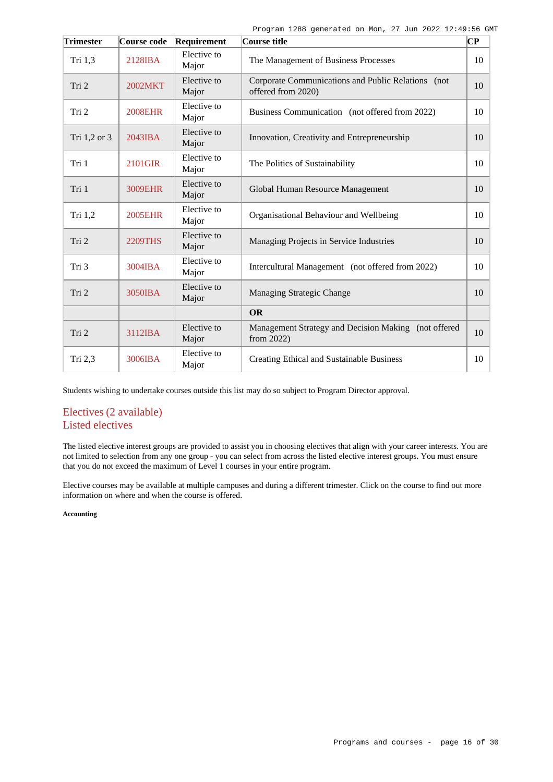| Trimester    | Course code       | Requirement          | Course title                                                             | $\overline{\mathbf{C}\mathbf{P}}$ |
|--------------|-------------------|----------------------|--------------------------------------------------------------------------|-----------------------------------|
| Tri 1,3      | 2128IBA           | Elective to<br>Major | The Management of Business Processes                                     | 10                                |
| Tri 2        | 2002MKT           | Elective to<br>Major | Corporate Communications and Public Relations (not<br>offered from 2020) | 10                                |
| Tri 2        | <b>2008EHR</b>    | Elective to<br>Major | Business Communication (not offered from 2022)                           | 10                                |
| Tri 1,2 or 3 | $2043$ <b>IBA</b> | Elective to<br>Major | Innovation, Creativity and Entrepreneurship                              | 10                                |
| Tri 1        | 2101GIR           | Elective to<br>Major | The Politics of Sustainability                                           | 10                                |
| Tri 1        | 3009EHR           | Elective to<br>Major | Global Human Resource Management                                         | 10                                |
| Tri 1,2      | <b>2005EHR</b>    | Elective to<br>Major | Organisational Behaviour and Wellbeing                                   | 10                                |
| Tri 2        | <b>2209THS</b>    | Elective to<br>Major | Managing Projects in Service Industries                                  | 10                                |
| Tri 3        | 3004IBA           | Elective to<br>Major | Intercultural Management (not offered from 2022)                         | 10                                |
| Tri 2        | 3050IBA           | Elective to<br>Major | Managing Strategic Change                                                | 10                                |
|              |                   |                      | <b>OR</b>                                                                |                                   |
| Tri 2        | 3112IBA           | Elective to<br>Major | Management Strategy and Decision Making (not offered<br>from $2022$ )    | 10                                |
| Tri 2,3      | 3006IBA           | Elective to<br>Major | Creating Ethical and Sustainable Business                                | 10                                |

Students wishing to undertake courses outside this list may do so subject to Program Director approval.

# Electives (2 available) Listed electives

The listed elective interest groups are provided to assist you in choosing electives that align with your career interests. You are not limited to selection from any one group - you can select from across the listed elective interest groups. You must ensure that you do not exceed the maximum of Level 1 courses in your entire program.

Elective courses may be available at multiple campuses and during a different trimester. Click on the course to find out more information on where and when the course is offered.

### **Accounting**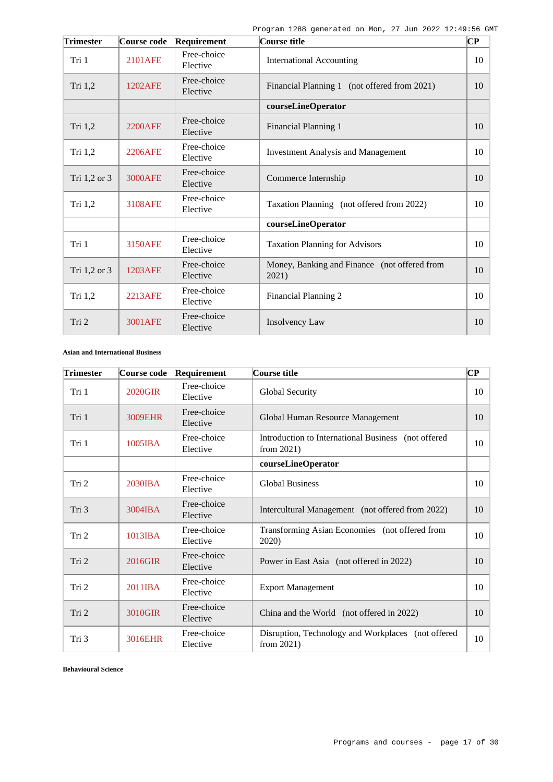| <b>Trimester</b> | Course code    | Requirement             | Course title                                          | $\overline{\mathbf{C}\mathbf{P}}$ |
|------------------|----------------|-------------------------|-------------------------------------------------------|-----------------------------------|
| Tri 1            | 2101AFE        | Free-choice<br>Elective | <b>International Accounting</b>                       | 10                                |
| Tri 1,2          | 1202AFE        | Free-choice<br>Elective | Financial Planning 1 (not offered from 2021)          | 10                                |
|                  |                |                         | courseLineOperator                                    |                                   |
| Tri 1,2          | <b>2200AFE</b> | Free-choice<br>Elective | Financial Planning 1                                  | 10                                |
| Tri 1,2          | 2206AFE        | Free-choice<br>Elective | <b>Investment Analysis and Management</b>             | 10                                |
| Tri 1,2 or 3     | <b>3000AFE</b> | Free-choice<br>Elective | Commerce Internship                                   | 10                                |
| Tri 1,2          | <b>3108AFE</b> | Free-choice<br>Elective | Taxation Planning (not offered from 2022)             | 10                                |
|                  |                |                         | courseLineOperator                                    |                                   |
| Tri 1            | <b>3150AFE</b> | Free-choice<br>Elective | <b>Taxation Planning for Advisors</b>                 | 10                                |
| Tri 1,2 or 3     | 1203AFE        | Free-choice<br>Elective | Money, Banking and Finance (not offered from<br>2021) | 10                                |
| Tri 1,2          | 2213AFE        | Free-choice<br>Elective | Financial Planning 2                                  | 10                                |
| Tri 2            | <b>3001AFE</b> | Free-choice<br>Elective | Insolvency Law                                        | 10                                |

## **Asian and International Business**

| <b>Trimester</b> | Course code       | Requirement             | Course title                                                         | $\bf CP$ |
|------------------|-------------------|-------------------------|----------------------------------------------------------------------|----------|
| Tri 1            | <b>2020GIR</b>    | Free-choice<br>Elective | Global Security                                                      | 10       |
| Tri 1            | 3009EHR           | Free-choice<br>Elective | Global Human Resource Management                                     | 10       |
| Tri 1            | 1005IBA           | Free-choice<br>Elective | Introduction to International Business (not offered<br>from $2021$ ) | 10       |
|                  |                   |                         | courseLineOperator                                                   |          |
| Tri 2            | $2030$ <b>IBA</b> | Free-choice<br>Elective | <b>Global Business</b>                                               | 10       |
| Tri 3            | 3004IBA           | Free-choice<br>Elective | Intercultural Management (not offered from 2022)                     | 10       |
| Tri 2            | $1013$ <b>IBA</b> | Free-choice<br>Elective | Transforming Asian Economies (not offered from<br>2020)              | 10       |
| Tri 2            | 2016GIR           | Free-choice<br>Elective | Power in East Asia (not offered in 2022)                             | 10       |
| Tri 2            | 2011IBA           | Free-choice<br>Elective | <b>Export Management</b>                                             | 10       |
| Tri 2            | 3010GIR           | Free-choice<br>Elective | China and the World (not offered in 2022)                            | 10       |
| Tri 3            | 3016EHR           | Free-choice<br>Elective | Disruption, Technology and Workplaces (not offered<br>from $2021$ )  | 10       |

**Behavioural Science**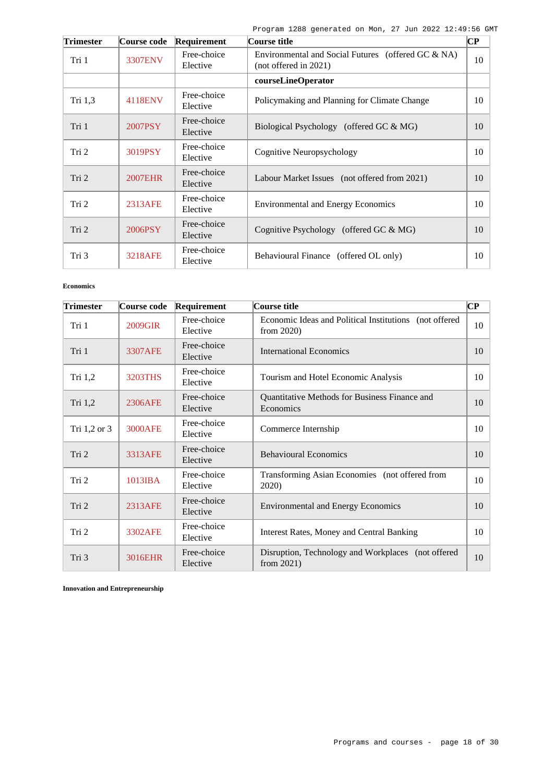| <b>Trimester</b> | Course code    | <b>Requirement</b>      | Course title                                                                  | $\bf CP$ |
|------------------|----------------|-------------------------|-------------------------------------------------------------------------------|----------|
| Tri 1            | 3307ENV        | Free-choice<br>Elective | Environmental and Social Futures (offered GC & NA)<br>$(not$ offered in 2021) | 10       |
|                  |                |                         | courseLineOperator                                                            |          |
| Tri 1,3          | 4118ENV        | Free-choice<br>Elective | Policymaking and Planning for Climate Change                                  | 10       |
| Tri 1            | 2007PSY        | Free-choice<br>Elective | Biological Psychology (offered GC & MG)                                       | 10       |
| Tri 2            | 3019PSY        | Free-choice<br>Elective | Cognitive Neuropsychology                                                     | 10       |
| Tri 2            | <b>2007EHR</b> | Free-choice<br>Elective | Labour Market Issues (not offered from 2021)                                  | 10       |
| Tri 2            | 2313AFE        | Free-choice<br>Elective | <b>Environmental and Energy Economics</b>                                     | 10       |
| Tri 2            | 2006PSY        | Free-choice<br>Elective | Cognitive Psychology (offered GC & MG)                                        | 10       |
| Tri 3            | <b>3218AFE</b> | Free-choice<br>Elective | Behavioural Finance (offered OL only)                                         | 10       |

#### **Economics**

| Trimester    | Course code       | Requirement             | Course title                                                            | $\bf CP$ |
|--------------|-------------------|-------------------------|-------------------------------------------------------------------------|----------|
| Tri 1        | 2009GIR           | Free-choice<br>Elective | Economic Ideas and Political Institutions (not offered<br>from $2020$ ) | 10       |
| Tri 1        | 3307AFE           | Free-choice<br>Elective | International Economics                                                 | 10       |
| Tri 1,2      | 3203THS           | Free-choice<br>Elective | Tourism and Hotel Economic Analysis                                     | 10       |
| Tri $1,2$    | 2306AFE           | Free-choice<br>Elective | Quantitative Methods for Business Finance and<br>Economics              | 10       |
| Tri 1,2 or 3 | 3000AFE           | Free-choice<br>Elective | Commerce Internship                                                     | 10       |
| Tri 2        | 3313AFE           | Free-choice<br>Elective | <b>Behavioural Economics</b>                                            | 10       |
| Tri 2        | $1013$ <b>IBA</b> | Free-choice<br>Elective | Transforming Asian Economies (not offered from<br>2020)                 | 10       |
| Tri 2        | 2313AFE           | Free-choice<br>Elective | <b>Environmental and Energy Economics</b>                               | 10       |
| Tri 2        | 3302AFE           | Free-choice<br>Elective | Interest Rates, Money and Central Banking                               | 10       |
| Tri 3        | 3016EHR           | Free-choice<br>Elective | Disruption, Technology and Workplaces (not offered<br>from $2021$ )     | 10       |

**Innovation and Entrepreneurship**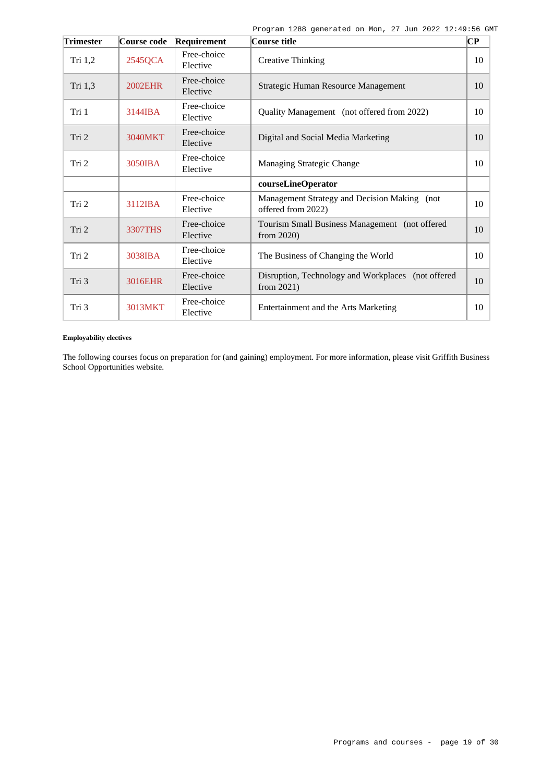| <b>Trimester</b> | Course code    | Requirement             | Course title                                                        | $\overline{\mathbf{C}\mathbf{P}}$ |
|------------------|----------------|-------------------------|---------------------------------------------------------------------|-----------------------------------|
| Tri 1,2          | 2545QCA        | Free-choice<br>Elective | <b>Creative Thinking</b>                                            | 10                                |
| Tri 1,3          | <b>2002EHR</b> | Free-choice<br>Elective | Strategic Human Resource Management                                 | 10                                |
| Tri 1            | 3144IBA        | Free-choice<br>Elective | Quality Management (not offered from 2022)                          | 10                                |
| Tri 2            | 3040MKT        | Free-choice<br>Elective | Digital and Social Media Marketing                                  | 10                                |
| Tri 2            | 3050IBA        | Free-choice<br>Elective | Managing Strategic Change                                           | 10                                |
|                  |                |                         | courseLineOperator                                                  |                                   |
| Tri 2            | 3112IBA        | Free-choice<br>Elective | Management Strategy and Decision Making (not<br>offered from 2022)  | 10                                |
| Tri 2            | <b>3307THS</b> | Free-choice<br>Elective | Tourism Small Business Management (not offered<br>from $2020$ )     | 10                                |
| Tri 2            | 3038IBA        | Free-choice<br>Elective | The Business of Changing the World                                  | 10                                |
| Tri 3            | 3016EHR        | Free-choice<br>Elective | Disruption, Technology and Workplaces (not offered<br>from $2021$ ) | 10                                |
| Tri 3            | 3013MKT        | Free-choice<br>Elective | Entertainment and the Arts Marketing                                | 10                                |

## **Employability electives**

The following courses focus on preparation for (and gaining) employment. For more information, please visit Griffith Business School Opportunities website.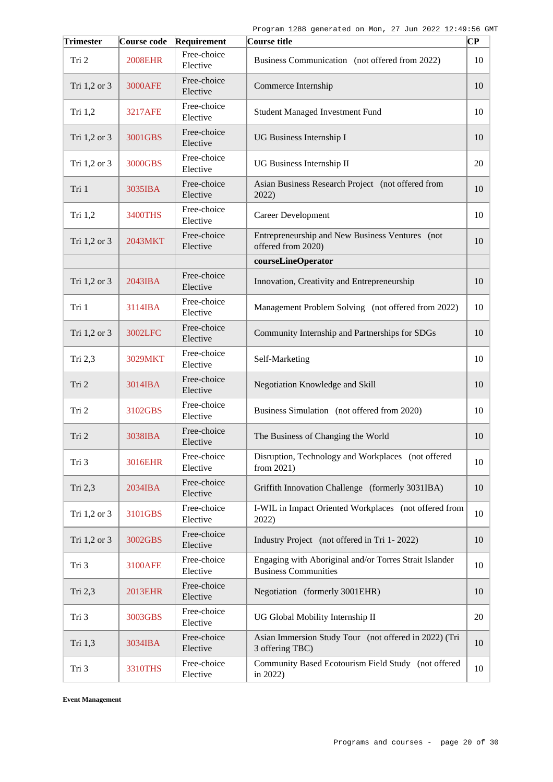| <b>Trimester</b> | Course code    | Requirement             | Course title                                                                          | CP |
|------------------|----------------|-------------------------|---------------------------------------------------------------------------------------|----|
| Tri 2            | <b>2008EHR</b> | Free-choice<br>Elective | Business Communication (not offered from 2022)                                        | 10 |
| Tri 1,2 or 3     | <b>3000AFE</b> | Free-choice<br>Elective | Commerce Internship                                                                   | 10 |
| Tri 1,2          | <b>3217AFE</b> | Free-choice<br>Elective | <b>Student Managed Investment Fund</b>                                                | 10 |
| Tri 1,2 or 3     | 3001GBS        | Free-choice<br>Elective | UG Business Internship I                                                              | 10 |
| Tri 1,2 or 3     | 3000GBS        | Free-choice<br>Elective | UG Business Internship II                                                             | 20 |
| Tri 1            | 3035IBA        | Free-choice<br>Elective | Asian Business Research Project (not offered from<br>2022)                            | 10 |
| Tri $1,2$        | 3400THS        | Free-choice<br>Elective | <b>Career Development</b>                                                             | 10 |
| Tri 1,2 or 3     | 2043MKT        | Free-choice<br>Elective | Entrepreneurship and New Business Ventures (not<br>offered from 2020)                 | 10 |
|                  |                |                         | courseLineOperator                                                                    |    |
| Tri 1,2 or 3     | 2043IBA        | Free-choice<br>Elective | Innovation, Creativity and Entrepreneurship                                           | 10 |
| Tri 1            | 3114IBA        | Free-choice<br>Elective | Management Problem Solving (not offered from 2022)                                    | 10 |
| Tri 1,2 or 3     | 3002LFC        | Free-choice<br>Elective | Community Internship and Partnerships for SDGs                                        | 10 |
| Tri 2,3          | 3029MKT        | Free-choice<br>Elective | Self-Marketing                                                                        | 10 |
| Tri 2            | 3014IBA        | Free-choice<br>Elective | Negotiation Knowledge and Skill                                                       | 10 |
| Tri 2            | 3102GBS        | Free-choice<br>Elective | Business Simulation (not offered from 2020)                                           | 10 |
| Tri 2            | 3038IBA        | Free-choice<br>Elective | The Business of Changing the World                                                    | 10 |
| Tri 3            | 3016EHR        | Free-choice<br>Elective | Disruption, Technology and Workplaces (not offered<br>from 2021)                      | 10 |
| Tri 2,3          | 2034IBA        | Free-choice<br>Elective | Griffith Innovation Challenge (formerly 3031IBA)                                      | 10 |
| Tri 1,2 or 3     | 3101GBS        | Free-choice<br>Elective | I-WIL in Impact Oriented Workplaces (not offered from<br>2022)                        | 10 |
| Tri 1,2 or 3     | 3002GBS        | Free-choice<br>Elective | Industry Project (not offered in Tri 1-2022)                                          | 10 |
| Tri 3            | 3100AFE        | Free-choice<br>Elective | Engaging with Aboriginal and/or Torres Strait Islander<br><b>Business Communities</b> | 10 |
| Tri 2,3          | 2013EHR        | Free-choice<br>Elective | Negotiation (formerly 3001EHR)                                                        | 10 |
| Tri 3            | 3003GBS        | Free-choice<br>Elective | UG Global Mobility Internship II                                                      | 20 |
| Tri 1,3          | 3034IBA        | Free-choice<br>Elective | Asian Immersion Study Tour (not offered in 2022) (Tri<br>3 offering TBC)              | 10 |
| Tri 3            | 3310THS        | Free-choice<br>Elective | Community Based Ecotourism Field Study (not offered<br>in 2022)                       | 10 |

**Event Management**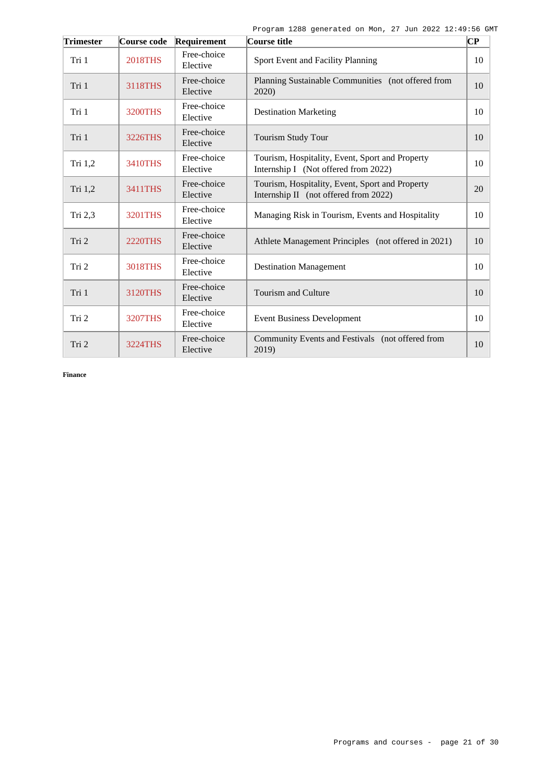| <b>Trimester</b> | Course code    | Requirement             | Course title                                                                             | $\bf CP$ |
|------------------|----------------|-------------------------|------------------------------------------------------------------------------------------|----------|
| Tri 1            | <b>2018THS</b> | Free-choice<br>Elective | Sport Event and Facility Planning                                                        | 10       |
| Tri 1            | 3118THS        | Free-choice<br>Elective | Planning Sustainable Communities (not offered from<br>2020)                              | 10       |
| Tri 1            | <b>3200THS</b> | Free-choice<br>Elective | <b>Destination Marketing</b>                                                             | 10       |
| Tri 1            | 3226THS        | Free-choice<br>Elective | <b>Tourism Study Tour</b>                                                                | 10       |
| Tri 1,2          | 3410THS        | Free-choice<br>Elective | Tourism, Hospitality, Event, Sport and Property<br>Internship I (Not offered from 2022)  | 10       |
| Tri 1,2          | 3411THS        | Free-choice<br>Elective | Tourism, Hospitality, Event, Sport and Property<br>Internship II (not offered from 2022) | 20       |
| Tri $2,3$        | 3201THS        | Free-choice<br>Elective | Managing Risk in Tourism, Events and Hospitality                                         | 10       |
| Tri 2            | <b>2220THS</b> | Free-choice<br>Elective | Athlete Management Principles (not offered in 2021)                                      | 10       |
| Tri 2            | 3018THS        | Free-choice<br>Elective | <b>Destination Management</b>                                                            | 10       |
| Tri 1            | 3120THS        | Free-choice<br>Elective | <b>Tourism and Culture</b>                                                               | 10       |
| Tri 2            | <b>3207THS</b> | Free-choice<br>Elective | <b>Event Business Development</b>                                                        | 10       |
| Tri 2            | 3224THS        | Free-choice<br>Elective | Community Events and Festivals (not offered from<br>2019)                                | 10       |

**Finance**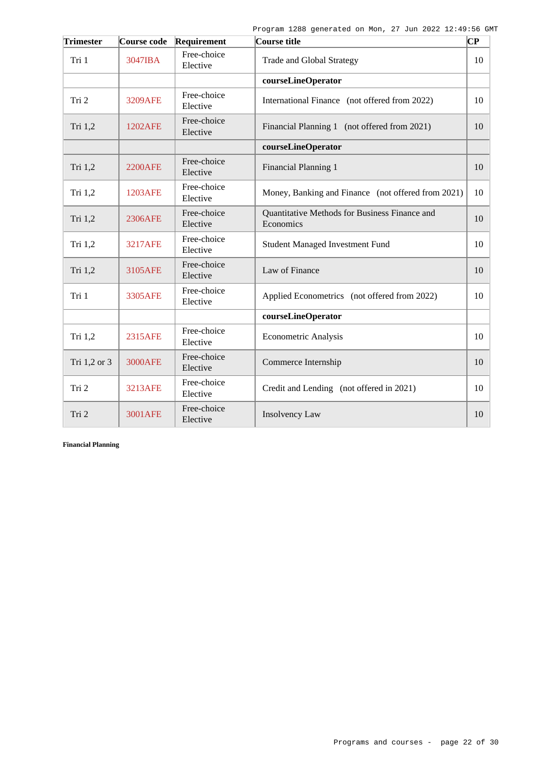| <b>Trimester</b> | Course code    | Requirement             | Course title                                               | ∣СР |
|------------------|----------------|-------------------------|------------------------------------------------------------|-----|
| Tri 1            | 3047IBA        | Free-choice<br>Elective | Trade and Global Strategy                                  | 10  |
|                  |                |                         | courseLineOperator                                         |     |
| Tri 2            | <b>3209AFE</b> | Free-choice<br>Elective | International Finance (not offered from 2022)              | 10  |
| Tri 1,2          | 1202AFE        | Free-choice<br>Elective | Financial Planning 1 (not offered from 2021)               | 10  |
|                  |                |                         | courseLineOperator                                         |     |
| Tri 1,2          | <b>2200AFE</b> | Free-choice<br>Elective | Financial Planning 1                                       | 10  |
| Tri $1,2$        | 1203AFE        | Free-choice<br>Elective | Money, Banking and Finance (not offered from 2021)         | 10  |
| Tri 1,2          | 2306AFE        | Free-choice<br>Elective | Quantitative Methods for Business Finance and<br>Economics | 10  |
| Tri $1,2$        | <b>3217AFE</b> | Free-choice<br>Elective | <b>Student Managed Investment Fund</b>                     | 10  |
| Tri 1,2          | 3105AFE        | Free-choice<br>Elective | Law of Finance                                             | 10  |
| Tri 1            | 3305AFE        | Free-choice<br>Elective | Applied Econometrics (not offered from 2022)               | 10  |
|                  |                |                         | courseLineOperator                                         |     |
| Tri $1,2$        | 2315AFE        | Free-choice<br>Elective | Econometric Analysis                                       | 10  |
| Tri 1,2 or 3     | <b>3000AFE</b> | Free-choice<br>Elective | Commerce Internship                                        | 10  |
| Tri 2            | 3213AFE        | Free-choice<br>Elective | Credit and Lending (not offered in 2021)                   | 10  |
| Tri 2            | <b>3001AFE</b> | Free-choice<br>Elective | Insolvency Law                                             | 10  |

**Financial Planning**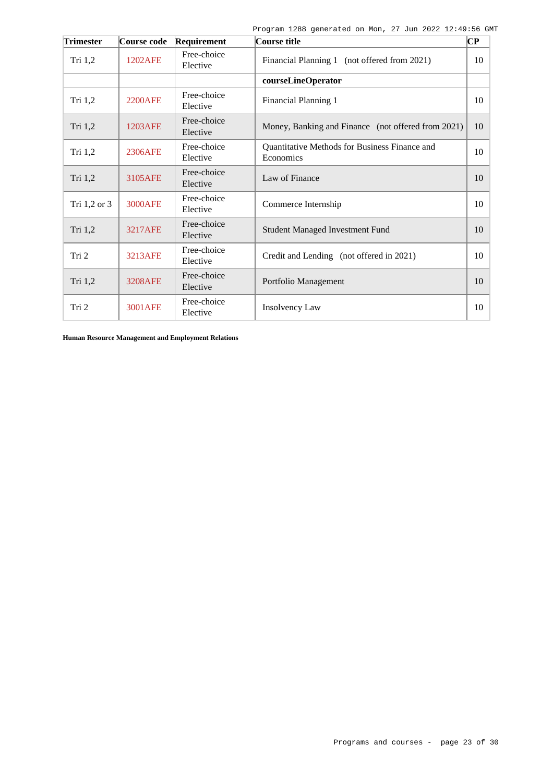| Trimester    | Course code    | Requirement             | Course title                                               | CP |
|--------------|----------------|-------------------------|------------------------------------------------------------|----|
| Tri $1,2$    | 1202AFE        | Free-choice<br>Elective | Financial Planning 1 (not offered from 2021)               | 10 |
|              |                |                         | courseLineOperator                                         |    |
| Tri $1,2$    | <b>2200AFE</b> | Free-choice<br>Elective | Financial Planning 1                                       | 10 |
| Tri 1,2      | 1203AFE        | Free-choice<br>Elective | Money, Banking and Finance (not offered from 2021)         | 10 |
| Tri $1,2$    | 2306AFE        | Free-choice<br>Elective | Quantitative Methods for Business Finance and<br>Economics | 10 |
| Tri 1,2      | 3105AFE        | Free-choice<br>Elective | Law of Finance                                             | 10 |
| Tri 1,2 or 3 | <b>3000AFE</b> | Free-choice<br>Elective | Commerce Internship                                        | 10 |
| Tri 1,2      | <b>3217AFE</b> | Free-choice<br>Elective | <b>Student Managed Investment Fund</b>                     | 10 |
| Tri 2        | 3213AFE        | Free-choice<br>Elective | Credit and Lending (not offered in 2021)                   | 10 |
| Tri 1,2      | <b>3208AFE</b> | Free-choice<br>Elective | Portfolio Management                                       | 10 |
| Tri 2        | 3001AFE        | Free-choice<br>Elective | Insolvency Law                                             | 10 |

**Human Resource Management and Employment Relations**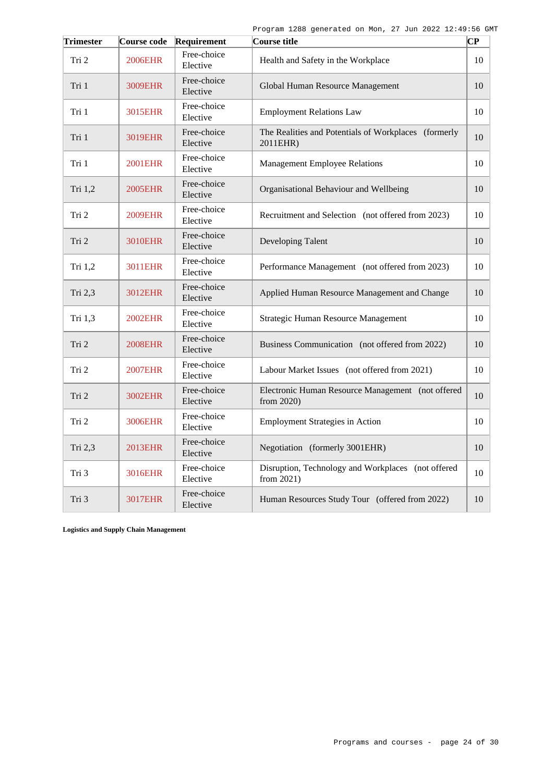| <b>Trimester</b> | Course code    | Requirement             | Course title                                                     | CР |
|------------------|----------------|-------------------------|------------------------------------------------------------------|----|
| Tri 2            | 2006EHR        | Free-choice<br>Elective | Health and Safety in the Workplace                               | 10 |
| Tri 1            | 3009EHR        | Free-choice<br>Elective | Global Human Resource Management                                 | 10 |
| Tri 1            | 3015EHR        | Free-choice<br>Elective | <b>Employment Relations Law</b>                                  | 10 |
| Tri 1            | 3019EHR        | Free-choice<br>Elective | The Realities and Potentials of Workplaces (formerly<br>2011EHR) | 10 |
| Tri 1            | <b>2001EHR</b> | Free-choice<br>Elective | <b>Management Employee Relations</b>                             | 10 |
| Tri 1,2          | <b>2005EHR</b> | Free-choice<br>Elective | Organisational Behaviour and Wellbeing                           | 10 |
| Tri 2            | <b>2009EHR</b> | Free-choice<br>Elective | Recruitment and Selection (not offered from 2023)                | 10 |
| Tri 2            | 3010EHR        | Free-choice<br>Elective | Developing Talent                                                | 10 |
| Tri 1,2          | 3011EHR        | Free-choice<br>Elective | Performance Management (not offered from 2023)                   | 10 |
| Tri 2,3          | 3012EHR        | Free-choice<br>Elective | Applied Human Resource Management and Change                     | 10 |
| Tri 1.3          | <b>2002EHR</b> | Free-choice<br>Elective | Strategic Human Resource Management                              | 10 |
| Tri 2            | <b>2008EHR</b> | Free-choice<br>Elective | Business Communication (not offered from 2022)                   | 10 |
| Tri 2            | <b>2007EHR</b> | Free-choice<br>Elective | Labour Market Issues (not offered from 2021)                     | 10 |
| Tri 2            | 3002EHR        | Free-choice<br>Elective | Electronic Human Resource Management (not offered<br>from 2020)  | 10 |
| Tri 2            | 3006EHR        | Free-choice<br>Elective | <b>Employment Strategies in Action</b>                           | 10 |
| Tri 2,3          | <b>2013EHR</b> | Free-choice<br>Elective | Negotiation (formerly 3001EHR)                                   | 10 |
| Tri 3            | 3016EHR        | Free-choice<br>Elective | Disruption, Technology and Workplaces (not offered<br>from 2021) | 10 |
| Tri 3            | 3017EHR        | Free-choice<br>Elective | Human Resources Study Tour (offered from 2022)                   | 10 |

**Logistics and Supply Chain Management**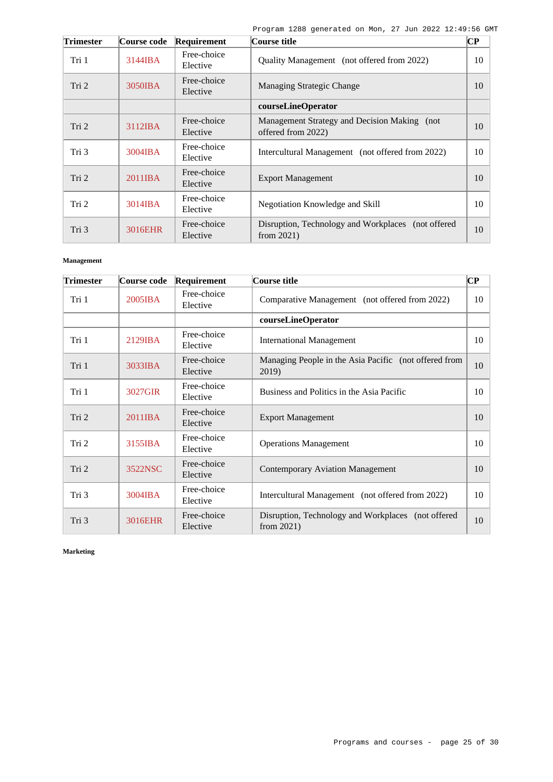| <b>Trimester</b> | Course code       | Requirement             | Course title                                                           | CР |
|------------------|-------------------|-------------------------|------------------------------------------------------------------------|----|
| Tri 1            | 3144IBA           | Free-choice<br>Elective | Quality Management (not offered from 2022)                             | 10 |
| Tri 2            | 3050IBA           | Free-choice<br>Elective | Managing Strategic Change                                              | 10 |
|                  |                   |                         | courseLineOperator                                                     |    |
| Tri 2            | $3112$ <b>IBA</b> | Free-choice<br>Elective | Management Strategy and Decision Making (not<br>offered from 2022)     | 10 |
| Tri 3            | 3004IBA           | Free-choice<br>Elective | Intercultural Management (not offered from 2022)                       | 10 |
| Tri 2            | 2011IBA           | Free-choice<br>Elective | <b>Export Management</b>                                               | 10 |
| Tri 2            | $3014$ <b>IBA</b> | Free-choice<br>Elective | Negotiation Knowledge and Skill                                        | 10 |
| Tri 3            | 3016EHR           | Free-choice<br>Elective | Disruption, Technology and Workplaces<br>(not offered<br>from $2021$ ) | 10 |

### **Management**

| <b>Trimester</b> | Course code | Requirement             | Course title                                                        | $\overline{\mathbf{C}\mathbf{P}}$ |
|------------------|-------------|-------------------------|---------------------------------------------------------------------|-----------------------------------|
| Tri 1            | 2005IBA     | Free-choice<br>Elective | Comparative Management (not offered from 2022)                      | 10                                |
|                  |             |                         | courseLineOperator                                                  |                                   |
| Tri 1            | $2129$ IBA  | Free-choice<br>Elective | <b>International Management</b>                                     | 10                                |
| Tri 1            | 3033IBA     | Free-choice<br>Elective | Managing People in the Asia Pacific (not offered from<br>2019)      | 10                                |
| Tri 1            | 3027GIR     | Free-choice<br>Elective | Business and Politics in the Asia Pacific                           | 10                                |
| Tri 2            | 2011IBA     | Free-choice<br>Elective | <b>Export Management</b>                                            | 10                                |
| Tri 2            | 3155IBA     | Free-choice<br>Elective | <b>Operations Management</b>                                        | 10                                |
| Tri 2            | 3522NSC     | Free-choice<br>Elective | <b>Contemporary Aviation Management</b>                             | 10                                |
| Tri 3            | 3004IBA     | Free-choice<br>Elective | Intercultural Management (not offered from 2022)                    | 10                                |
| Tri 3            | 3016EHR     | Free-choice<br>Elective | Disruption, Technology and Workplaces (not offered<br>from $2021$ ) | 10                                |

**Marketing**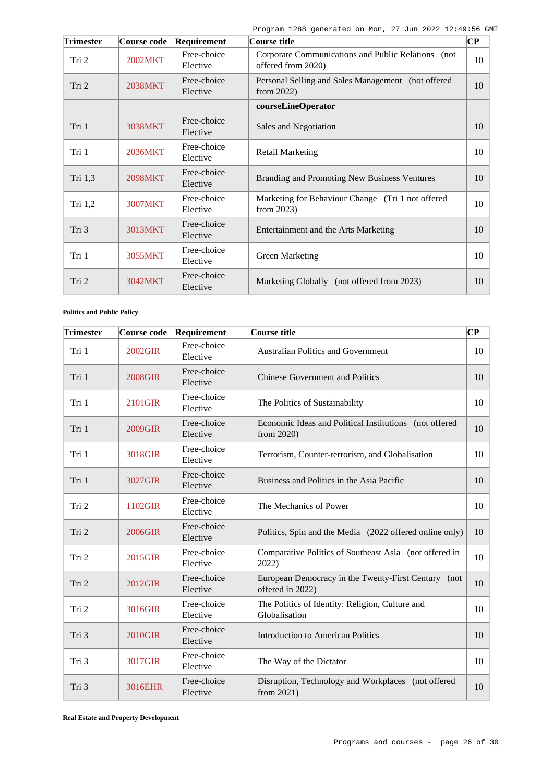| <b>Trimester</b> | Course code | Requirement             | Course title                                                             | $\overline{\mathbf{C}\mathbf{P}}$ |
|------------------|-------------|-------------------------|--------------------------------------------------------------------------|-----------------------------------|
| Tri 2            | 2002MKT     | Free-choice<br>Elective | Corporate Communications and Public Relations (not<br>offered from 2020) | 10                                |
| Tri 2            | 2038MKT     | Free-choice<br>Elective | Personal Selling and Sales Management (not offered<br>from $2022$ )      | 10                                |
|                  |             |                         | courseLineOperator                                                       |                                   |
| Tri 1            | 3038MKT     | Free-choice<br>Elective | Sales and Negotiation                                                    | 10                                |
| Tri 1            | 2036MKT     | Free-choice<br>Elective | <b>Retail Marketing</b>                                                  | 10                                |
| Tri 1,3          | 2098MKT     | Free-choice<br>Elective | Branding and Promoting New Business Ventures                             | 10                                |
| Tri 1,2          | 3007MKT     | Free-choice<br>Elective | Marketing for Behaviour Change (Tri 1 not offered<br>from $2023$ )       | 10                                |
| Tri 3            | 3013MKT     | Free-choice<br>Elective | Entertainment and the Arts Marketing                                     | 10                                |
| Tri 1            | 3055MKT     | Free-choice<br>Elective | <b>Green Marketing</b>                                                   | 10                                |
| Tri 2            | 3042MKT     | Free-choice<br>Elective | Marketing Globally (not offered from 2023)                               | 10                                |

**Politics and Public Policy**

| <b>Trimester</b> | Course code    | Requirement             | Course title                                                            | CP |
|------------------|----------------|-------------------------|-------------------------------------------------------------------------|----|
| Tri 1            | 2002GIR        | Free-choice<br>Elective | <b>Australian Politics and Government</b>                               | 10 |
| Tri 1            | <b>2008GIR</b> | Free-choice<br>Elective | <b>Chinese Government and Politics</b>                                  | 10 |
| Tri 1            | 2101GIR        | Free-choice<br>Elective | The Politics of Sustainability                                          | 10 |
| Tri 1            | 2009GIR        | Free-choice<br>Elective | Economic Ideas and Political Institutions (not offered<br>from 2020)    | 10 |
| Tri 1            | 3018GIR        | Free-choice<br>Elective | Terrorism, Counter-terrorism, and Globalisation                         | 10 |
| Tri 1            | 3027GIR        | Free-choice<br>Elective | Business and Politics in the Asia Pacific                               | 10 |
| Tri 2            | 1102GIR        | Free-choice<br>Elective | The Mechanics of Power                                                  | 10 |
| Tri 2            | 2006GIR        | Free-choice<br>Elective | Politics, Spin and the Media (2022 offered online only)                 | 10 |
| Tri 2            | 2015GIR        | Free-choice<br>Elective | Comparative Politics of Southeast Asia (not offered in<br>2022)         | 10 |
| Tri 2            | 2012GIR        | Free-choice<br>Elective | European Democracy in the Twenty-First Century (not<br>offered in 2022) | 10 |
| Tri 2            | 3016GIR        | Free-choice<br>Elective | The Politics of Identity: Religion, Culture and<br>Globalisation        | 10 |
| Tri 3            | 2010GIR        | Free-choice<br>Elective | <b>Introduction to American Politics</b>                                | 10 |
| Tri 3            | 3017GIR        | Free-choice<br>Elective | The Way of the Dictator                                                 | 10 |
| Tri 3            | 3016EHR        | Free-choice<br>Elective | Disruption, Technology and Workplaces (not offered<br>from 2021)        | 10 |

**Real Estate and Property Development**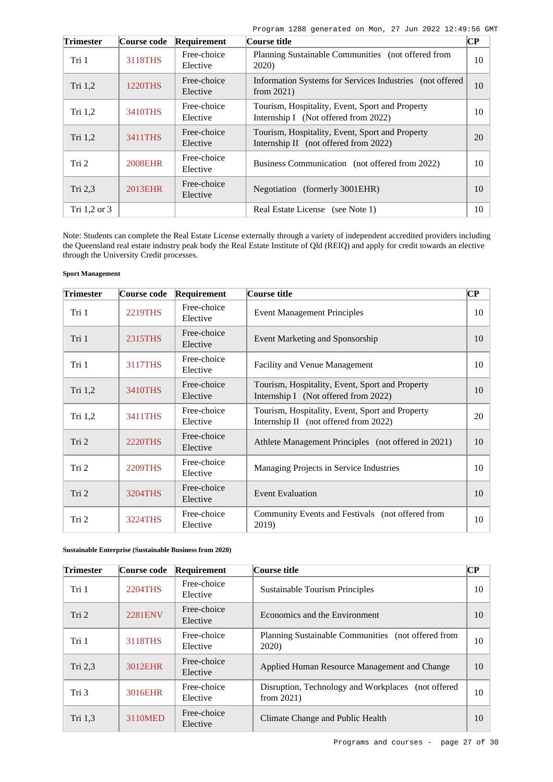| <b>Trimester</b> | Course code    | Requirement             | Course title                                                                             | $\bf CP$ |
|------------------|----------------|-------------------------|------------------------------------------------------------------------------------------|----------|
| Tri 1            | 3118THS        | Free-choice<br>Elective | Planning Sustainable Communities (not offered from<br>2020)                              | 10       |
| Tri 1,2          | <b>1220THS</b> | Free-choice<br>Elective | Information Systems for Services Industries (not offered)<br>from $2021$ )               | 10       |
| Tri $1,2$        | 3410THS        | Free-choice<br>Elective | Tourism, Hospitality, Event, Sport and Property<br>Internship I (Not offered from 2022)  | 10       |
| Tri $1,2$        | 3411THS        | Free-choice<br>Elective | Tourism, Hospitality, Event, Sport and Property<br>Internship II (not offered from 2022) | 20       |
| Tri 2            | 2008EHR        | Free-choice<br>Elective | Business Communication (not offered from 2022)                                           | 10       |
| Tri 2,3          | 2013EHR        | Free-choice<br>Elective | Negotiation (formerly 3001EHR)                                                           | 10       |
| Tri $1,2$ or $3$ |                |                         | <b>Real Estate License</b><br>(see Note $1$ )                                            | 10       |

Note: Students can complete the Real Estate License externally through a variety of independent accredited providers including the Queensland real estate industry peak body the Real Estate Institute of Qld (REIQ) and apply for credit towards an elective through the University Credit processes.

### **Sport Management**

| <b>Trimester</b> | Course code    | Requirement             | Course title                                                                             | $\bf CP$ |
|------------------|----------------|-------------------------|------------------------------------------------------------------------------------------|----------|
| Tri 1            | <b>2219THS</b> | Free-choice<br>Elective | <b>Event Management Principles</b>                                                       | 10       |
| Tri 1            | 2315THS        | Free-choice<br>Elective | Event Marketing and Sponsorship                                                          | 10       |
| Tri 1            | 3117THS        | Free-choice<br>Elective | <b>Facility and Venue Management</b>                                                     | 10       |
| Tri 1,2          | 3410THS        | Free-choice<br>Elective | Tourism, Hospitality, Event, Sport and Property<br>Internship I (Not offered from 2022)  | 10       |
| Tri $1,2$        | 3411THS        | Free-choice<br>Elective | Tourism, Hospitality, Event, Sport and Property<br>Internship II (not offered from 2022) | 20       |
| Tri 2            | 2220THS        | Free-choice<br>Elective | Athlete Management Principles (not offered in 2021)                                      | 10       |
| Tri 2            | <b>2209THS</b> | Free-choice<br>Elective | Managing Projects in Service Industries                                                  | 10       |
| Tri 2            | 3204THS        | Free-choice<br>Elective | <b>Event Evaluation</b>                                                                  | 10       |
| Tri 2            | 3224THS        | Free-choice<br>Elective | Community Events and Festivals (not offered from<br>2019)                                | 10       |

**Sustainable Enterprise (Sustainable Business from 2020)**

| <b>Trimester</b> | Course code    | Requirement             | Course title                                                            | $\overline{\mathbf{CP}}$ |
|------------------|----------------|-------------------------|-------------------------------------------------------------------------|--------------------------|
| Tri 1            | 2204THS        | Free-choice<br>Elective | <b>Sustainable Tourism Principles</b>                                   | 10                       |
| Tri 2            | <b>2281ENV</b> | Free-choice<br>Elective | Economics and the Environment                                           | 10                       |
| Tri 1            | 3118THS        | Free-choice<br>Elective | Planning Sustainable Communities (not offered from<br>2020)             | 10                       |
| Tri $2,3$        | 3012EHR        | Free-choice<br>Elective | Applied Human Resource Management and Change                            | 10                       |
| Tri 3            | 3016EHR        | Free-choice<br>Elective | Disruption, Technology and Workplaces<br>(not offered)<br>from $2021$ ) | 10                       |
| Tri 1,3          | 3110MED        | Free-choice<br>Elective | Climate Change and Public Health                                        | 10                       |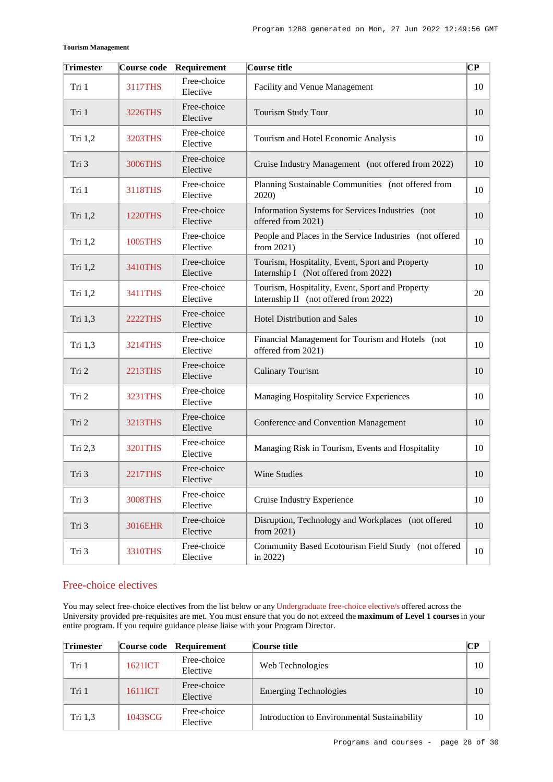| <b>Trimester</b> | Course code    | Requirement             | Course title                                                                             | $\overline{\mathbf{C}\mathbf{P}}$ |
|------------------|----------------|-------------------------|------------------------------------------------------------------------------------------|-----------------------------------|
| Tri 1            | <b>3117THS</b> | Free-choice<br>Elective | Facility and Venue Management                                                            | 10                                |
| Tri 1            | <b>3226THS</b> | Free-choice<br>Elective | Tourism Study Tour                                                                       | 10                                |
| Tri 1,2          | 3203THS        | Free-choice<br>Elective | Tourism and Hotel Economic Analysis                                                      | 10                                |
| Tri 3            | 3006THS        | Free-choice<br>Elective | Cruise Industry Management (not offered from 2022)                                       | 10                                |
| Tri 1            | 3118THS        | Free-choice<br>Elective | Planning Sustainable Communities (not offered from<br>2020)                              | 10                                |
| Tri 1,2          | <b>1220THS</b> | Free-choice<br>Elective | Information Systems for Services Industries (not<br>offered from 2021)                   | 10                                |
| Tri 1,2          | 1005THS        | Free-choice<br>Elective | People and Places in the Service Industries (not offered<br>from $2021$ )                | 10                                |
| Tri 1,2          | 3410THS        | Free-choice<br>Elective | Tourism, Hospitality, Event, Sport and Property<br>Internship I (Not offered from 2022)  | 10                                |
| Tri 1,2          | 3411THS        | Free-choice<br>Elective | Tourism, Hospitality, Event, Sport and Property<br>Internship II (not offered from 2022) | 20                                |
| Tri 1,3          | <b>2222THS</b> | Free-choice<br>Elective | <b>Hotel Distribution and Sales</b>                                                      | 10                                |
| Tri 1,3          | 3214THS        | Free-choice<br>Elective | Financial Management for Tourism and Hotels (not<br>offered from 2021)                   | 10                                |
| Tri 2            | 2213THS        | Free-choice<br>Elective | <b>Culinary Tourism</b>                                                                  | 10                                |
| Tri 2            | <b>3231THS</b> | Free-choice<br>Elective | Managing Hospitality Service Experiences                                                 | 10                                |
| Tri 2            | 3213THS        | Free-choice<br>Elective | Conference and Convention Management                                                     | 10                                |
| Tri 2,3          | <b>3201THS</b> | Free-choice<br>Elective | Managing Risk in Tourism, Events and Hospitality                                         | 10                                |
| Tri 3            | <b>2217THS</b> | Free-choice<br>Elective | Wine Studies                                                                             | 10                                |
| Tri 3            | <b>3008THS</b> | Free-choice<br>Elective | Cruise Industry Experience                                                               | 10                                |
| Tri 3            | 3016EHR        | Free-choice<br>Elective | Disruption, Technology and Workplaces (not offered<br>from $2021$ )                      | 10                                |
| Tri 3            | 3310THS        | Free-choice<br>Elective | Community Based Ecotourism Field Study (not offered<br>in 2022)                          | 10                                |

# Free-choice electives

You may select free-choice electives from the list below or any [Undergraduate free-choice elective/s](https://www148.griffith.edu.au/programs-courses/Search/Results?SearchRequestType=CourseCatalogue&AcademicCareerName=UGRD&IsFreeChoiceElective=True) offered across the University provided pre-requisites are met. You must ensure that you do not exceed the **maximum of Level 1 courses** in your entire program. If you require guidance please liaise with your Program Director.

| <b>Trimester</b> |         | Course code Requirement | Course title                                 | CР |
|------------------|---------|-------------------------|----------------------------------------------|----|
| Tri 1            | 1621ICT | Free-choice<br>Elective | Web Technologies                             | 10 |
| Tri 1            | 1611ICT | Free-choice<br>Elective | <b>Emerging Technologies</b>                 | 10 |
| Tri 1,3          | 1043SCG | Free-choice<br>Elective | Introduction to Environmental Sustainability | 10 |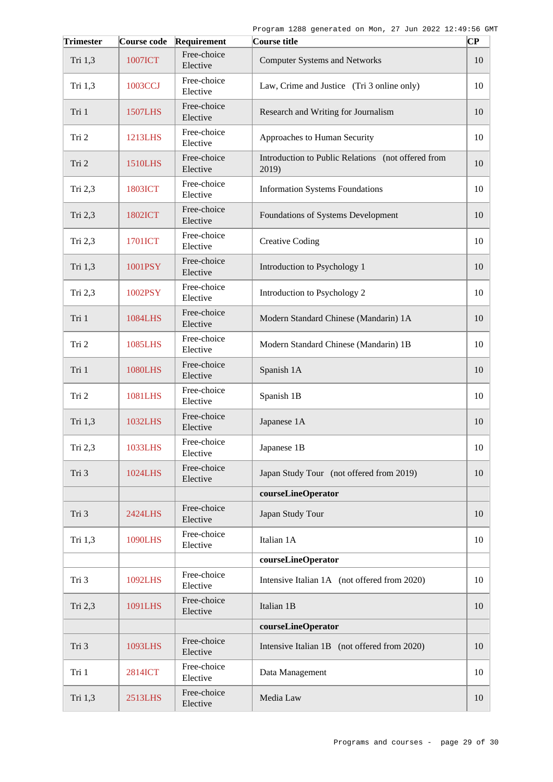| <b>Trimester</b> | Course code    | Requirement             | Course title                                                | CР |
|------------------|----------------|-------------------------|-------------------------------------------------------------|----|
| Tri 1,3          | <b>1007ICT</b> | Free-choice<br>Elective | <b>Computer Systems and Networks</b>                        | 10 |
| Tri 1,3          | 1003CCJ        | Free-choice<br>Elective | Law, Crime and Justice (Tri 3 online only)                  | 10 |
| Tri 1            | <b>1507LHS</b> | Free-choice<br>Elective | Research and Writing for Journalism                         | 10 |
| Tri 2            | 1213LHS        | Free-choice<br>Elective | Approaches to Human Security                                | 10 |
| Tri 2            | <b>1510LHS</b> | Free-choice<br>Elective | Introduction to Public Relations (not offered from<br>2019) | 10 |
| Tri 2,3          | 1803ICT        | Free-choice<br>Elective | <b>Information Systems Foundations</b>                      | 10 |
| Tri 2,3          | 1802ICT        | Free-choice<br>Elective | Foundations of Systems Development                          | 10 |
| Tri 2,3          | 1701ICT        | Free-choice<br>Elective | <b>Creative Coding</b>                                      | 10 |
| Tri 1,3          | 1001PSY        | Free-choice<br>Elective | Introduction to Psychology 1                                | 10 |
| Tri 2,3          | 1002PSY        | Free-choice<br>Elective | Introduction to Psychology 2                                | 10 |
| Tri 1            | 1084LHS        | Free-choice<br>Elective | Modern Standard Chinese (Mandarin) 1A                       | 10 |
| Tri 2            | 1085LHS        | Free-choice<br>Elective | Modern Standard Chinese (Mandarin) 1B                       | 10 |
| Tri 1            | <b>1080LHS</b> | Free-choice<br>Elective | Spanish 1A                                                  | 10 |
| Tri 2            | 1081LHS        | Free-choice<br>Elective | Spanish 1B                                                  | 10 |
| Tri 1,3          | 1032LHS        | Free-choice<br>Elective | Japanese 1A                                                 | 10 |
| Tri 2,3          | 1033LHS        | Free-choice<br>Elective | Japanese 1B                                                 | 10 |
| Tri 3            | 1024LHS        | Free-choice<br>Elective | Japan Study Tour (not offered from 2019)                    | 10 |
|                  |                |                         | courseLineOperator                                          |    |
| Tri 3            | 2424LHS        | Free-choice<br>Elective | Japan Study Tour                                            | 10 |
| Tri 1,3          | <b>1090LHS</b> | Free-choice<br>Elective | Italian 1A                                                  | 10 |
|                  |                |                         | courseLineOperator                                          |    |
| Tri 3            | 1092LHS        | Free-choice<br>Elective | Intensive Italian 1A (not offered from 2020)                | 10 |
| Tri 2,3          | 1091LHS        | Free-choice<br>Elective | Italian 1B                                                  | 10 |
|                  |                |                         | courseLineOperator                                          |    |
| Tri 3            | 1093LHS        | Free-choice<br>Elective | Intensive Italian 1B (not offered from 2020)                | 10 |
| Tri 1            | 2814ICT        | Free-choice<br>Elective | Data Management                                             | 10 |
| Tri 1,3          | 2513LHS        | Free-choice<br>Elective | Media Law                                                   | 10 |